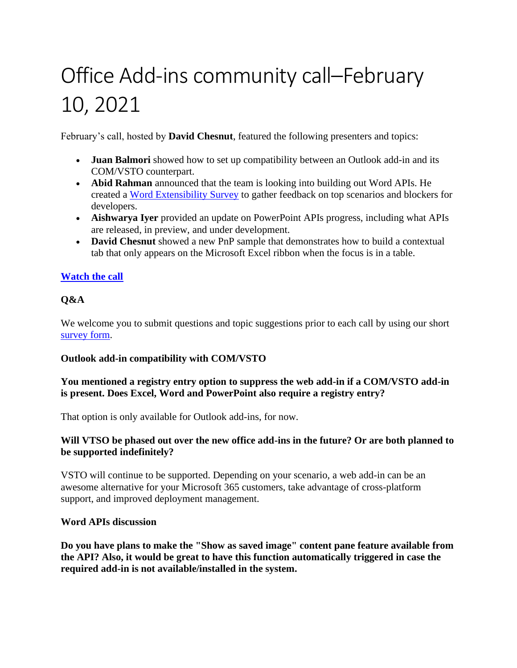# Office Add-ins community call–February 10, 2021

February's call, hosted by **David Chesnut**, featured the following presenters and topics:

- **Juan Balmori** showed how to set up compatibility between an Outlook add-in and its COM/VSTO counterpart.
- **Abid Rahman** announced that the team is looking into building out Word APIs. He created a [Word Extensibility Survey](https://aka.ms/WordExtensibilitySurvey) to gather feedback on top scenarios and blockers for developers.
- **Aishwarya Iyer** provided an update on PowerPoint APIs progress, including what APIs are released, in preview, and under development.
- **David Chesnut** showed a new PnP sample that demonstrates how to build a contextual tab that only appears on the Microsoft Excel ribbon when the focus is in a table.

# **[Watch the call](https://www.youtube.com/embed/a05dTyUlSYM)**

# **Q&A**

We welcome you to submit questions and topic suggestions prior to each call by using our short [survey form.](https://aka.ms/officeaddinsform)

# **Outlook add-in compatibility with COM/VSTO**

# **You mentioned a registry entry option to suppress the web add-in if a COM/VSTO add-in is present. Does Excel, Word and PowerPoint also require a registry entry?**

That option is only available for Outlook add-ins, for now.

# **Will VTSO be phased out over the new office add-ins in the future? Or are both planned to be supported indefinitely?**

VSTO will continue to be supported. Depending on your scenario, a web add-in can be an awesome alternative for your Microsoft 365 customers, take advantage of cross-platform support, and improved deployment management.

# **Word APIs discussion**

**Do you have plans to make the "Show as saved image" content pane feature available from the API? Also, it would be great to have this function automatically triggered in case the required add-in is not available/installed in the system.**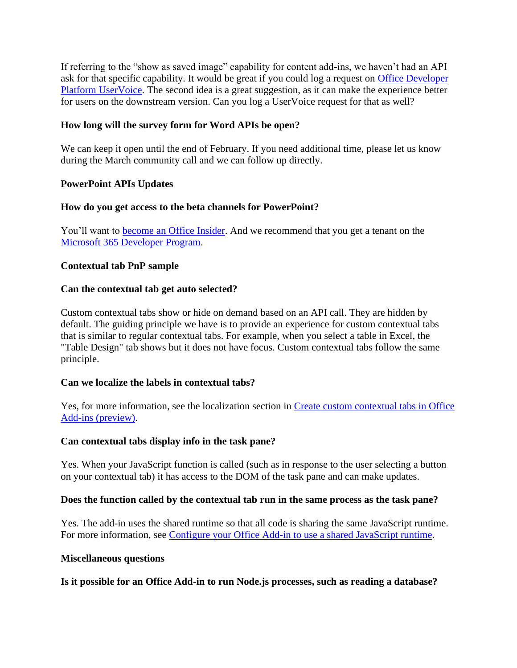If referring to the "show as saved image" capability for content add-ins, we haven't had an API ask for that specific capability. It would be great if you could log a request on [Office Developer](https://officespdev.uservoice.com/)  [Platform UserVoice.](https://officespdev.uservoice.com/) The second idea is a great suggestion, as it can make the experience better for users on the downstream version. Can you log a UserVoice request for that as well?

## **How long will the survey form for Word APIs be open?**

We can keep it open until the end of February. If you need additional time, please let us know during the March community call and we can follow up directly.

## **PowerPoint APIs Updates**

## **How do you get access to the beta channels for PowerPoint?**

You'll want to **become an Office Insider**. And we recommend that you get a tenant on the [Microsoft 365 Developer Program.](https://aka.ms/m365devprogram)

## **Contextual tab PnP sample**

## **Can the contextual tab get auto selected?**

Custom contextual tabs show or hide on demand based on an API call. They are hidden by default. The guiding principle we have is to provide an experience for custom contextual tabs that is similar to regular contextual tabs. For example, when you select a table in Excel, the "Table Design" tab shows but it does not have focus. Custom contextual tabs follow the same principle.

## **Can we localize the labels in contextual tabs?**

Yes, for more information, see the localization section in [Create custom contextual tabs in Office](https://docs.microsoft.com/office/dev/add-ins/design/contextual-tabs#localizing-the-json-blob)  [Add-ins \(preview\).](https://docs.microsoft.com/office/dev/add-ins/design/contextual-tabs#localizing-the-json-blob)

## **Can contextual tabs display info in the task pane?**

Yes. When your JavaScript function is called (such as in response to the user selecting a button on your contextual tab) it has access to the DOM of the task pane and can make updates.

## **Does the function called by the contextual tab run in the same process as the task pane?**

Yes. The add-in uses the shared runtime so that all code is sharing the same JavaScript runtime. For more information, see [Configure your Office Add-in to use a shared](https://docs.microsoft.com/en-us/office/dev/add-ins/develop/configure-your-add-in-to-use-a-shared-runtime) JavaScript runtime.

## **Miscellaneous questions**

**Is it possible for an Office Add-in to run Node.js processes, such as reading a database?**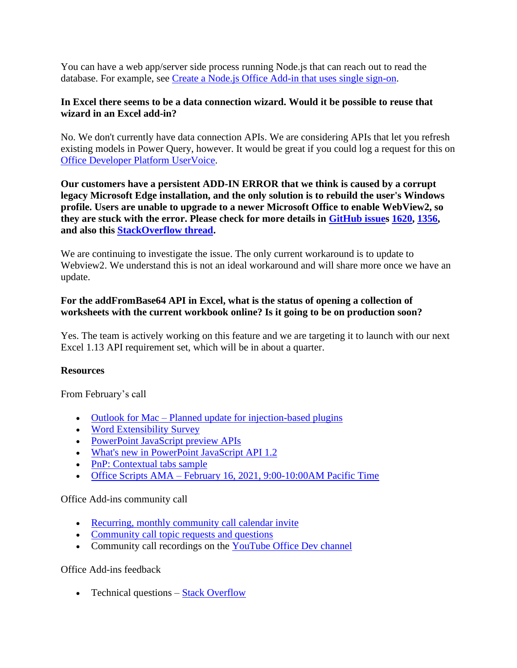You can have a web app/server side process running Node.js that can reach out to read the database. For example, see [Create a Node.js Office Add-in that uses single sign-on.](https://docs.microsoft.com/office/dev/add-ins/develop/create-sso-office-add-ins-nodejs)

## **In Excel there seems to be a data connection wizard. Would it be possible to reuse that wizard in an Excel add-in?**

No. We don't currently have data connection APIs. We are considering APIs that let you refresh existing models in Power Query, however. It would be great if you could log a request for this on [Office Developer Platform UserVoice.](https://officespdev.uservoice.com/)

**Our customers have a persistent ADD-IN ERROR that we think is caused by a corrupt legacy Microsoft Edge installation, and the only solution is to rebuild the user's Windows profile. Users are unable to upgrade to a newer Microsoft Office to enable WebView2, so they are stuck with the error. Please check for more details in [GitHub issues 1620,](https://github.com/OfficeDev/office-js/issues/1620) [1356,](https://github.com/OfficeDev/office-js/issues/1356) and also this [StackOverflow thread.](https://stackoverflow.com/questions/60656709/outlook-add-in-fails-to-load-on-o365-desktop-client)**

We are continuing to investigate the issue. The only current workaround is to update to Webview2. We understand this is not an ideal workaround and will share more once we have an update.

# **For the addFromBase64 API in Excel, what is the status of opening a collection of worksheets with the current workbook online? Is it going to be on production soon?**

Yes. The team is actively working on this feature and we are targeting it to launch with our next Excel 1.13 API requirement set, which will be in about a quarter.

# **Resources**

From February's call

- Outlook for Mac [Planned update for injection-based plugins](https://aka.ms/MacPlugins)
- [Word Extensibility Survey](https://aka.ms/WordExtensibilitySurvey)
- [PowerPoint JavaScript preview APIs](https://docs.microsoft.com/office/dev/add-ins/reference/requirement-sets/powerpoint-preview-apis)
- [What's new in PowerPoint JavaScript API 1.2](https://docs.microsoft.com/office/dev/add-ins/reference/requirement-sets/powerpoint-api-1-2-requirement-set)
- [PnP: Contextual tabs sample](https://github.com/OfficeDev/PnP-OfficeAddins/tree/master/Samples/office-contextual-tabs)
- Office Scripts  $AMA February 16, 2021, 9:00-10:00AM Pacific Time$  $AMA February 16, 2021, 9:00-10:00AM Pacific Time$

# Office Add-ins community call

- [Recurring, monthly community call calendar invite](https://aka.ms/officeaddinscommunitycall)
- [Community call topic requests and questions](https://aka.ms/officeaddinsform)
- Community call recordings on the [YouTube Office Dev channel](https://aka.ms/OfficeDevYouTube)

## Office Add-ins feedback

• Technical questions – [Stack Overflow](https://stackoverflow.com/questions/tagged/office-js)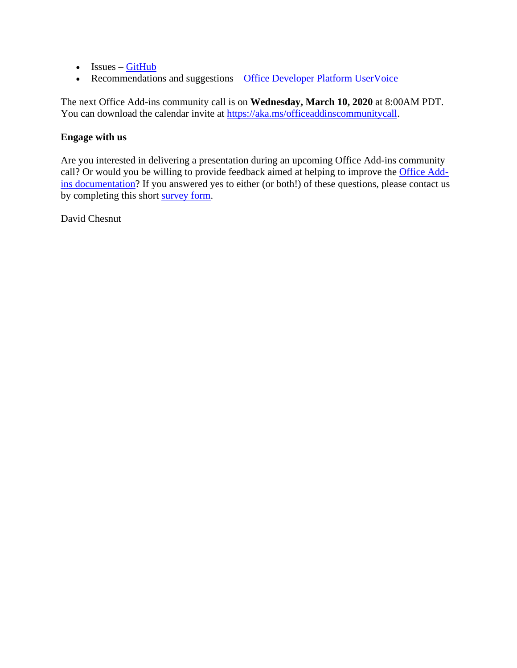- Issues [GitHub](https://github.com/OfficeDev/office-js/issues)
- Recommendations and suggestions [Office Developer Platform UserVoice](https://officespdev.uservoice.com/)

The next Office Add-ins community call is on **Wednesday, March 10, 2020** at 8:00AM PDT. You can download the calendar invite at [https://aka.ms/officeaddinscommunitycall.](https://aka.ms/officeaddinscommunitycall)

# **Engage with us**

Are you interested in delivering a presentation during an upcoming Office Add-ins community call? Or would you be willing to provide feedback aimed at helping to improve the [Office Add](https://docs.microsoft.com/office/dev/add-ins/)[ins documentation?](https://docs.microsoft.com/office/dev/add-ins/) If you answered yes to either (or both!) of these questions, please contact us by completing this short [survey form.](https://aka.ms/office-add-ins-engage)

David Chesnut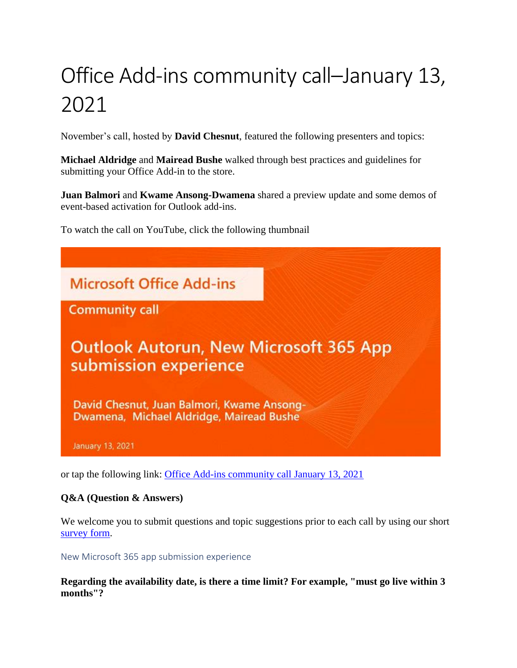# Office Add-ins community call–January 13, 2021

November's call, hosted by **David Chesnut**, featured the following presenters and topics:

**Michael Aldridge** and **Mairead Bushe** walked through best practices and guidelines for submitting your Office Add-in to the store.

**Juan Balmori** and **Kwame Ansong-Dwamena** shared a preview update and some demos of event-based activation for Outlook add-ins.

To watch the call on YouTube, click the following thumbnail



or tap the following link: [Office Add-ins community call January 13, 2021](https://youtu.be/rXqmGBrmdCw)

# **Q&A (Question & Answers)**

We welcome you to submit questions and topic suggestions prior to each call by using our short [survey form.](https://aka.ms/officeaddinsform)

## New Microsoft 365 app submission experience

**Regarding the availability date, is there a time limit? For example, "must go live within 3 months"?**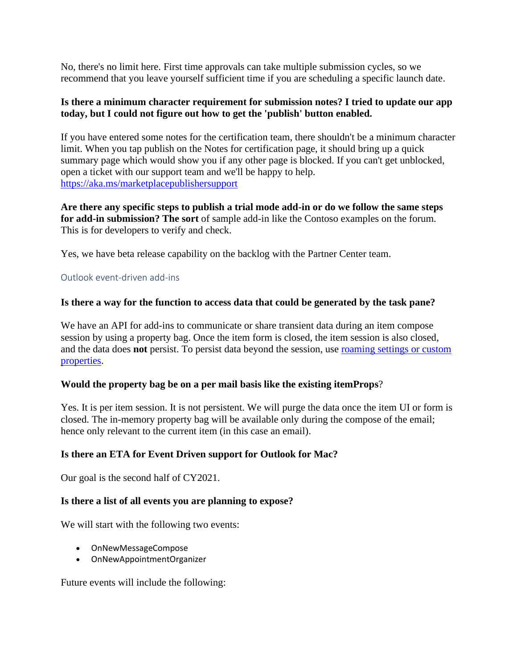No, there's no limit here. First time approvals can take multiple submission cycles, so we recommend that you leave yourself sufficient time if you are scheduling a specific launch date.

## **Is there a minimum character requirement for submission notes? I tried to update our app today, but I could not figure out how to get the 'publish' button enabled.**

If you have entered some notes for the certification team, there shouldn't be a minimum character limit. When you tap publish on the Notes for certification page, it should bring up a quick summary page which would show you if any other page is blocked. If you can't get unblocked, open a ticket with our support team and we'll be happy to help. <https://aka.ms/marketplacepublishersupport>

**Are there any specific steps to publish a trial mode add-in or do we follow the same steps for add-in submission? The sort** of sample add-in like the Contoso examples on the forum. This is for developers to verify and check.

Yes, we have beta release capability on the backlog with the Partner Center team.

## Outlook event-driven add-ins

## **Is there a way for the function to access data that could be generated by the task pane?**

We have an API for add-ins to communicate or share transient data during an item compose session by using a property bag. Once the item form is closed, the item session is also closed, and the data does **not** persist. To persist data beyond the session, use [roaming settings or custom](https://docs.microsoft.com/office/dev/add-ins/outlook/metadata-for-an-outlook-add-in)  [properties.](https://docs.microsoft.com/office/dev/add-ins/outlook/metadata-for-an-outlook-add-in)

## **Would the property bag be on a per mail basis like the existing itemProps**?

Yes. It is per item session. It is not persistent. We will purge the data once the item UI or form is closed. The in-memory property bag will be available only during the compose of the email; hence only relevant to the current item (in this case an email).

## **Is there an ETA for Event Driven support for Outlook for Mac?**

Our goal is the second half of CY2021.

## **Is there a list of all events you are planning to expose?**

We will start with the following two events:

- OnNewMessageCompose
- OnNewAppointmentOrganizer

Future events will include the following: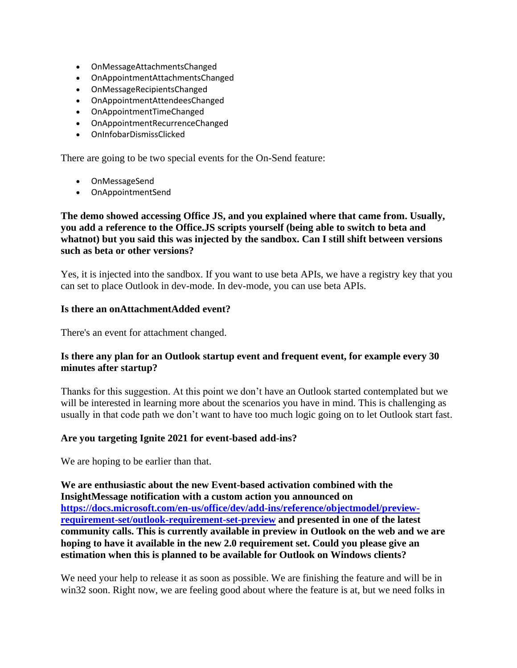- OnMessageAttachmentsChanged
- OnAppointmentAttachmentsChanged
- OnMessageRecipientsChanged
- OnAppointmentAttendeesChanged
- OnAppointmentTimeChanged
- OnAppointmentRecurrenceChanged
- OnInfobarDismissClicked

There are going to be two special events for the On-Send feature:

- OnMessageSend
- OnAppointmentSend

## **The demo showed accessing Office JS, and you explained where that came from. Usually, you add a reference to the Office.JS scripts yourself (being able to switch to beta and whatnot) but you said this was injected by the sandbox. Can I still shift between versions such as beta or other versions?**

Yes, it is injected into the sandbox. If you want to use beta APIs, we have a registry key that you can set to place Outlook in dev-mode. In dev-mode, you can use beta APIs.

## **Is there an onAttachmentAdded event?**

There's an event for attachment changed.

# **Is there any plan for an Outlook startup event and frequent event, for example every 30 minutes after startup?**

Thanks for this suggestion. At this point we don't have an Outlook started contemplated but we will be interested in learning more about the scenarios you have in mind. This is challenging as usually in that code path we don't want to have too much logic going on to let Outlook start fast.

# **Are you targeting Ignite 2021 for event-based add-ins?**

We are hoping to be earlier than that.

**We are enthusiastic about the new Event-based activation combined with the InsightMessage notification with a custom action you announced on [https://docs.microsoft.com/en-us/office/dev/add-ins/reference/objectmodel/preview](https://docs.microsoft.com/en-us/office/dev/add-ins/reference/objectmodel/preview-requirement-set/outlook-requirement-set-preview)[requirement-set/outlook-requirement-set-preview](https://docs.microsoft.com/en-us/office/dev/add-ins/reference/objectmodel/preview-requirement-set/outlook-requirement-set-preview) and presented in one of the latest community calls. This is currently available in preview in Outlook on the web and we are hoping to have it available in the new 2.0 requirement set. Could you please give an estimation when this is planned to be available for Outlook on Windows clients?**

We need your help to release it as soon as possible. We are finishing the feature and will be in win32 soon. Right now, we are feeling good about where the feature is at, but we need folks in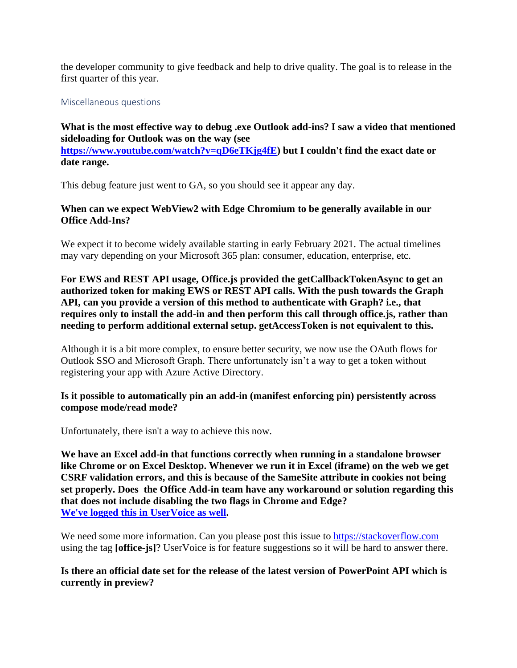the developer community to give feedback and help to drive quality. The goal is to release in the first quarter of this year.

Miscellaneous questions

**What is the most effective way to debug .exe Outlook add-ins? I saw a video that mentioned sideloading for Outlook was on the way (see [https://www.youtube.com/watch?v=qD6eTKjg4fE\)](https://www.youtube.com/watch?v=qD6eTKjg4fE) but I couldn't find the exact date or date range.**

This debug feature just went to GA, so you should see it appear any day.

# **When can we expect WebView2 with Edge Chromium to be generally available in our Office Add-Ins?**

We expect it to become widely available starting in early February 2021. The actual timelines may vary depending on your Microsoft 365 plan: consumer, education, enterprise, etc.

**For EWS and REST API usage, Office.js provided the getCallbackTokenAsync to get an authorized token for making EWS or REST API calls. With the push towards the Graph API, can you provide a version of this method to authenticate with Graph? i.e., that requires only to install the add-in and then perform this call through office.js, rather than needing to perform additional external setup. getAccessToken is not equivalent to this.**

Although it is a bit more complex, to ensure better security, we now use the OAuth flows for Outlook SSO and Microsoft Graph. There unfortunately isn't a way to get a token without registering your app with Azure Active Directory.

## **Is it possible to automatically pin an add-in (manifest enforcing pin) persistently across compose mode/read mode?**

Unfortunately, there isn't a way to achieve this now.

**We have an Excel add-in that functions correctly when running in a standalone browser like Chrome or on Excel Desktop. Whenever we run it in Excel (iframe) on the web we get CSRF validation errors, and this is because of the SameSite attribute in cookies not being set properly. Does the Office Add-in team have any workaround or solution regarding this that does not include disabling the two flags in Chrome and Edge? [We've logged this in UserVoice](https://officespdev.uservoice.com/forums/224641-feature-requests-and-feedback/suggestions/42382267-csrf-token-validation-failed-issue) as well.**

We need some more information. Can you please post this issue to [https://stackoverflow.com](https://stackoverflow.com/) using the tag **[office-js]**? UserVoice is for feature suggestions so it will be hard to answer there.

**Is there an official date set for the release of the latest version of PowerPoint API which is currently in preview?**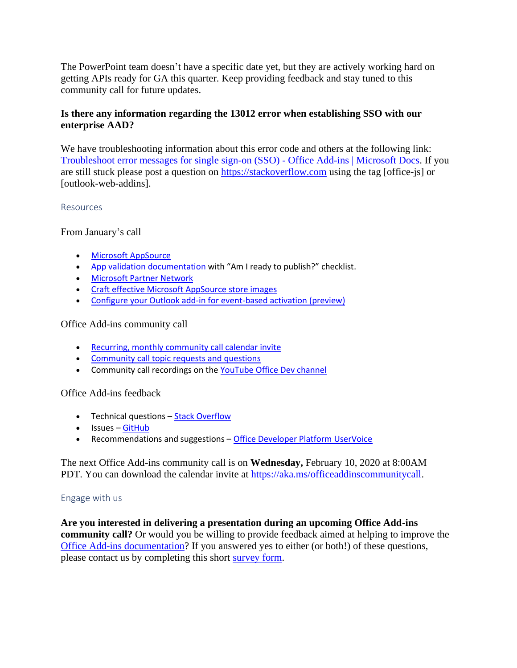The PowerPoint team doesn't have a specific date yet, but they are actively working hard on getting APIs ready for GA this quarter. Keep providing feedback and stay tuned to this community call for future updates.

## **Is there any information regarding the 13012 error when establishing SSO with our enterprise AAD?**

We have troubleshooting information about this error code and others at the following link: [Troubleshoot error messages for single sign-on \(SSO\) -](https://docs.microsoft.com/en-us/office/dev/add-ins/develop/troubleshoot-sso-in-office-add-ins) Office Add-ins | Microsoft Docs. If you are still stuck please post a question on [https://stackoverflow.com](https://stackoverflow.com/) using the tag [office-js] or [outlook-web-addins].

### Resources

From January's call

- [Microsoft AppSource](https://appsource.microsoft.com/)
- [App validation documentation](https://docs.microsoft.com/office/dev/store/) with "Am I ready to publish?" checklist.
- [Microsoft Partner Network](https://partner.microsoft.com/)
- [Craft effective Microsoft AppSource store images](https://docs.microsoft.com/office/dev/store/craft-effective-appsource-store-images)
- [Configure your Outlook add-in for event-based activation \(preview\)](https://docs.microsoft.com/office/dev/add-ins/outlook/autolaunch)

## Office Add-ins community call

- [Recurring, monthly community call calendar invite](https://aka.ms/officeaddinscommunitycall)
- [Community call topic requests and questions](https://aka.ms/officeaddinsform)
- Community call recordings on the [YouTube Office Dev channel](https://aka.ms/OfficeDevYouTube)

Office Add-ins feedback

- Technical questions [Stack Overflow](https://stackoverflow.com/questions/tagged/office-js)
- Issues [GitHub](https://github.com/OfficeDev/office-js/issues)
- Recommendations and suggestions [Office Developer Platform UserVoice](https://officespdev.uservoice.com/)

The next Office Add-ins community call is on **Wednesday,** February 10, 2020 at 8:00AM PDT. You can download the calendar invite at [https://aka.ms/officeaddinscommunitycall.](https://aka.ms/officeaddinscommunitycall)

### Engage with us

**Are you interested in delivering a presentation during an upcoming Office Add-ins community call?** Or would you be willing to provide feedback aimed at helping to improve the [Office Add-ins documentation?](https://docs.microsoft.com/office/dev/add-ins/) If you answered yes to either (or both!) of these questions, please contact us by completing this short [survey form.](https://aka.ms/office-add-ins-engage)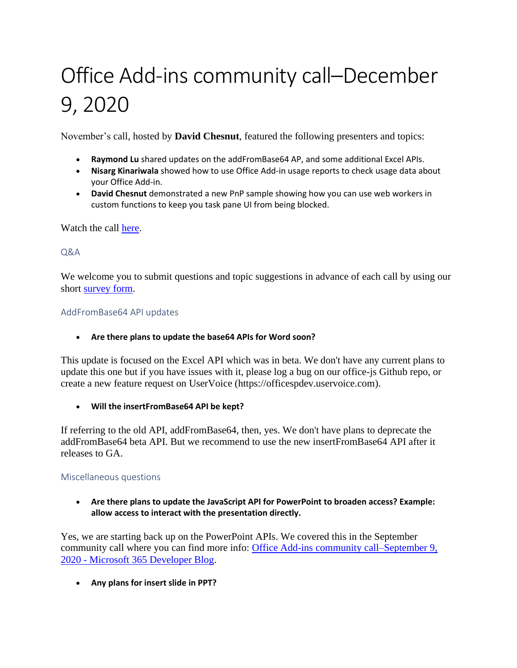# Office Add-ins community call–December 9, 2020

November's call, hosted by **David Chesnut**, featured the following presenters and topics:

- **Raymond Lu** shared updates on the addFromBase64 AP, and some additional Excel APIs.
- **Nisarg Kinariwala** showed how to use Office Add-in usage reports to check usage data about your Office Add-in.
- **David Chesnut** demonstrated a new PnP sample showing how you can use web workers in custom functions to keep you task pane UI from being blocked.

Watch the call [here.](https://www.youtube.com/embed/5KenAQ50264)

Q&A

We welcome you to submit questions and topic suggestions in advance of each call by using our short [survey form.](https://aka.ms/officeaddinsform)

### AddFromBase64 API updates

### • **Are there plans to update the base64 APIs for Word soon?**

This update is focused on the Excel API which was in beta. We don't have any current plans to update this one but if you have issues with it, please log a bug on our office-js Github repo, or create a new feature request on UserVoice (https://officespdev.uservoice.com).

• **Will the insertFromBase64 API be kept?**

If referring to the old API, addFromBase64, then, yes. We don't have plans to deprecate the addFromBase64 beta API. But we recommend to use the new insertFromBase64 API after it releases to GA.

### Miscellaneous questions

• **Are there plans to update the JavaScript API for PowerPoint to broaden access? Example: allow access to interact with the presentation directly.**

Yes, we are starting back up on the PowerPoint APIs. We covered this in the September community call where you can find more info: [Office Add-ins community call–September 9,](https://developer.microsoft.com/office/blogs/office-add-ins-community-call-september-9-2020/)  2020 - [Microsoft 365 Developer Blog.](https://developer.microsoft.com/office/blogs/office-add-ins-community-call-september-9-2020/)

• **Any plans for insert slide in PPT?**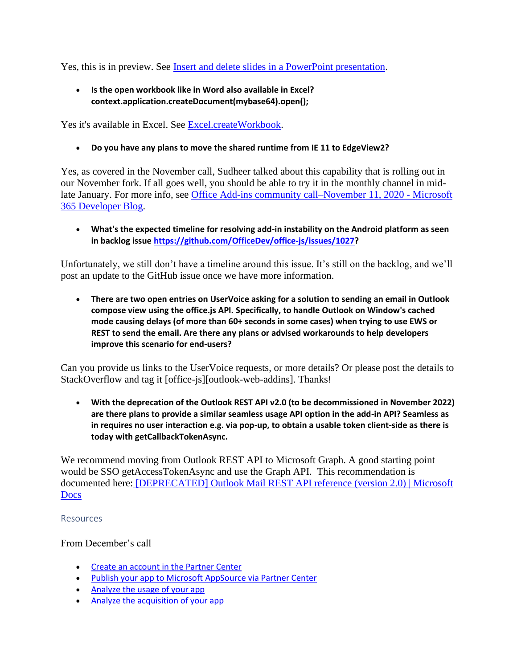Yes, this is in preview. See [Insert and delete slides in a PowerPoint presentation.](https://docs.microsoft.com/office/dev/add-ins/powerpoint/insert-slides-into-presentation)

• **Is the open workbook like in Word also available in Excel? context.application.createDocument(mybase64).open();**

Yes it's available in Excel. See [Excel.createWorkbook.](https://docs.microsoft.com/office/dev/add-ins/excel/excel-add-ins-workbooks#create-a-workbook)

• **Do you have any plans to move the shared runtime from IE 11 to EdgeView2?**

Yes, as covered in the November call, Sudheer talked about this capability that is rolling out in our November fork. If all goes well, you should be able to try it in the monthly channel in midlate January. For more info, see [Office Add-ins community call–November 11, 2020 -](https://developer.microsoft.com/office/blogs/office-add-ins-community-call-november-11-2020/) Microsoft [365 Developer Blog.](https://developer.microsoft.com/office/blogs/office-add-ins-community-call-november-11-2020/)

• **What's the expected timeline for resolving add-in instability on the Android platform as seen in backlog issue [https://github.com/OfficeDev/office-js/issues/1027?](https://github.com/OfficeDev/office-js/issues/1027)**

Unfortunately, we still don't have a timeline around this issue. It's still on the backlog, and we'll post an update to the GitHub issue once we have more information.

• **There are two open entries on UserVoice asking for a solution to sending an email in Outlook compose view using the office.js API. Specifically, to handle Outlook on Window's cached mode causing delays (of more than 60+ seconds in some cases) when trying to use EWS or REST to send the email. Are there any plans or advised workarounds to help developers improve this scenario for end-users?**

Can you provide us links to the UserVoice requests, or more details? Or please post the details to StackOverflow and tag it [office-js][outlook-web-addins]. Thanks!

• **With the deprecation of the Outlook REST API v2.0 (to be decommissioned in November 2022) are there plans to provide a similar seamless usage API option in the add-in API? Seamless as in requires no user interaction e.g. via pop-up, to obtain a usable token client-side as there is today with getCallbackTokenAsync.**

We recommend moving from Outlook REST API to Microsoft Graph. A good starting point would be SSO getAccessTokenAsync and use the Graph API. This recommendation is documented here: [\[DEPRECATED\] Outlook Mail REST API reference \(version 2.0\) | Microsoft](https://nam06.safelinks.protection.outlook.com/?url=https%3A%2F%2Fdocs.microsoft.com%2Fen-us%2Fprevious-versions%2Foffice%2Foffice-365-api%2Fapi%2Fversion-2.0%2Fmail-rest-operations&data=04%7C01%7Cdavech%40microsoft.com%7C6a55842aeaf1495d9d4808d898117a5d%7C72f988bf86f141af91ab2d7cd011db47%7C0%7C1%7C637426548165093859%7CUnknown%7CTWFpbGZsb3d8eyJWIjoiMC4wLjAwMDAiLCJQIjoiV2luMzIiLCJBTiI6Ik1haWwiLCJXVCI6Mn0%3D%7C1000&sdata=NAGj2Wf323eWEmmdJhPVgTlInAgxIWHLIBmijgSCScM%3D&reserved=0)  [Docs](https://nam06.safelinks.protection.outlook.com/?url=https%3A%2F%2Fdocs.microsoft.com%2Fen-us%2Fprevious-versions%2Foffice%2Foffice-365-api%2Fapi%2Fversion-2.0%2Fmail-rest-operations&data=04%7C01%7Cdavech%40microsoft.com%7C6a55842aeaf1495d9d4808d898117a5d%7C72f988bf86f141af91ab2d7cd011db47%7C0%7C1%7C637426548165093859%7CUnknown%7CTWFpbGZsb3d8eyJWIjoiMC4wLjAwMDAiLCJQIjoiV2luMzIiLCJBTiI6Ik1haWwiLCJXVCI6Mn0%3D%7C1000&sdata=NAGj2Wf323eWEmmdJhPVgTlInAgxIWHLIBmijgSCScM%3D&reserved=0)

### Resources

From December's call

- [Create an account in the Partner Center](https://docs.microsoft.com/azure/marketplace/partner-center-portal/create-account)
- [Publish your app to Microsoft AppSource via Partner Center](https://docs.microsoft.com/office/dev/store/use-partner-center-to-submit-to-appsource)
- [Analyze the usage of your app](https://docs.microsoft.com/office/dev/store/view-usage-report)
- [Analyze the acquisition of your app](https://docs.microsoft.com/office/dev/store/view-acquisitions-report#acquisitions)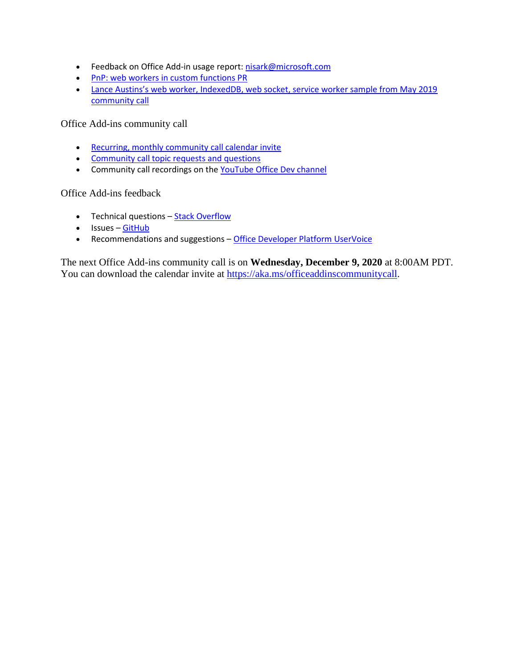- Feedback on Office Add-in usage report[: nisark@microsoft.com](mailto:nisark@microsoft.com)
- [PnP: web workers in custom functions PR](https://github.com/OfficeDev/PnP-OfficeAddins/pull/96)
- [Lance Austins's web worker, IndexedDB, web socket, service worker sample from May 2019](https://github.com/LanceEa/office-addin-cc)  [community call](https://github.com/LanceEa/office-addin-cc)

Office Add-ins community call

- [Recurring, monthly community call calendar invite](https://aka.ms/officeaddinscommunitycall)
- [Community call topic requests and questions](https://aka.ms/officeaddinsform)
- Community call recordings on the [YouTube Office Dev channel](https://aka.ms/OfficeDevYouTube)

Office Add-ins feedback

- Technical questions **[Stack Overflow](https://stackoverflow.com/questions/tagged/office-js)**
- Issues [GitHub](https://github.com/OfficeDev/office-js/issues)
- Recommendations and suggestions [Office Developer Platform UserVoice](https://officespdev.uservoice.com/)

The next Office Add-ins community call is on **Wednesday, December 9, 2020** at 8:00AM PDT. You can download the calendar invite at [https://aka.ms/officeaddinscommunitycall.](https://aka.ms/officeaddinscommunitycall)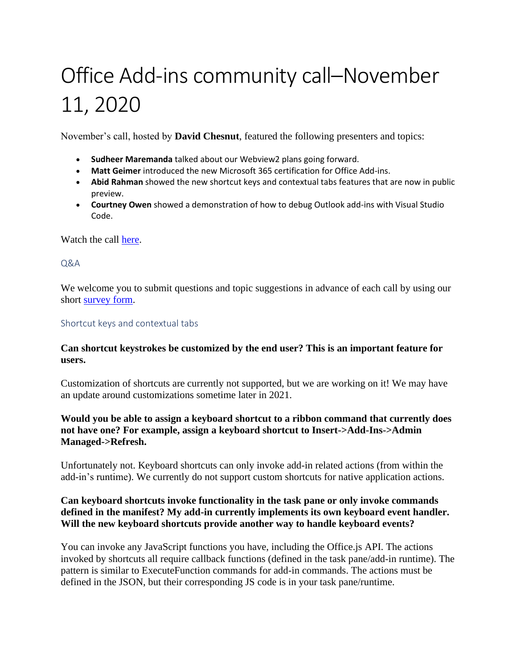# Office Add-ins community call–November 11, 2020

November's call, hosted by **David Chesnut**, featured the following presenters and topics:

- **Sudheer Maremanda** talked about our Webview2 plans going forward.
- **Matt Geimer** introduced the new Microsoft 365 certification for Office Add-ins.
- **Abid Rahman** showed the new shortcut keys and contextual tabs features that are now in public preview.
- **Courtney Owen** showed a demonstration of how to debug Outlook add-ins with Visual Studio Code.

Watch the call [here.](https://www.youtube.com/embed/cr5Xv-ihqr8)

 $O&A$ 

We welcome you to submit questions and topic suggestions in advance of each call by using our short [survey form.](https://aka.ms/officeaddinsform)

### Shortcut keys and contextual tabs

## **Can shortcut keystrokes be customized by the end user? This is an important feature for users.**

Customization of shortcuts are currently not supported, but we are working on it! We may have an update around customizations sometime later in 2021.

## **Would you be able to assign a keyboard shortcut to a ribbon command that currently does not have one? For example, assign a keyboard shortcut to Insert->Add-Ins->Admin Managed->Refresh.**

Unfortunately not. Keyboard shortcuts can only invoke add-in related actions (from within the add-in's runtime). We currently do not support custom shortcuts for native application actions.

## **Can keyboard shortcuts invoke functionality in the task pane or only invoke commands defined in the manifest? My add-in currently implements its own keyboard event handler. Will the new keyboard shortcuts provide another way to handle keyboard events?**

You can invoke any JavaScript functions you have, including the Office.js API. The actions invoked by shortcuts all require callback functions (defined in the task pane/add-in runtime). The pattern is similar to ExecuteFunction commands for add-in commands. The actions must be defined in the JSON, but their corresponding JS code is in your task pane/runtime.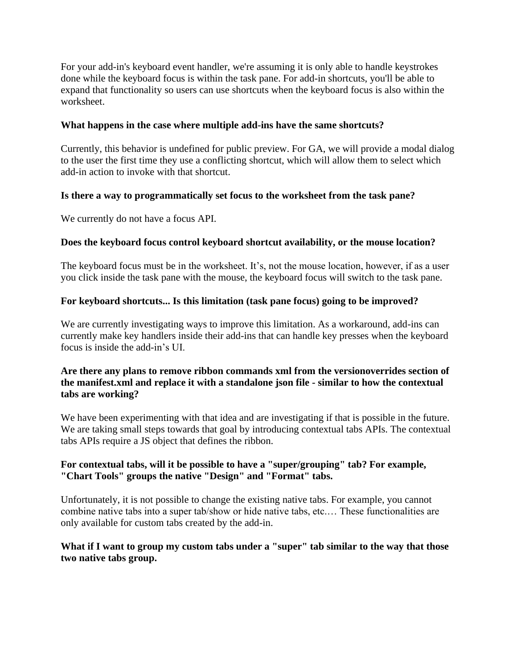For your add-in's keyboard event handler, we're assuming it is only able to handle keystrokes done while the keyboard focus is within the task pane. For add-in shortcuts, you'll be able to expand that functionality so users can use shortcuts when the keyboard focus is also within the worksheet.

## **What happens in the case where multiple add-ins have the same shortcuts?**

Currently, this behavior is undefined for public preview. For GA, we will provide a modal dialog to the user the first time they use a conflicting shortcut, which will allow them to select which add-in action to invoke with that shortcut.

## **Is there a way to programmatically set focus to the worksheet from the task pane?**

We currently do not have a focus API.

## **Does the keyboard focus control keyboard shortcut availability, or the mouse location?**

The keyboard focus must be in the worksheet. It's, not the mouse location, however, if as a user you click inside the task pane with the mouse, the keyboard focus will switch to the task pane.

## **For keyboard shortcuts... Is this limitation (task pane focus) going to be improved?**

We are currently investigating ways to improve this limitation. As a workaround, add-ins can currently make key handlers inside their add-ins that can handle key presses when the keyboard focus is inside the add-in's UI.

## **Are there any plans to remove ribbon commands xml from the versionoverrides section of the manifest.xml and replace it with a standalone json file - similar to how the contextual tabs are working?**

We have been experimenting with that idea and are investigating if that is possible in the future. We are taking small steps towards that goal by introducing contextual tabs APIs. The contextual tabs APIs require a JS object that defines the ribbon.

# **For contextual tabs, will it be possible to have a "super/grouping" tab? For example, "Chart Tools" groups the native "Design" and "Format" tabs.**

Unfortunately, it is not possible to change the existing native tabs. For example, you cannot combine native tabs into a super tab/show or hide native tabs, etc.… These functionalities are only available for custom tabs created by the add-in.

## **What if I want to group my custom tabs under a "super" tab similar to the way that those two native tabs group.**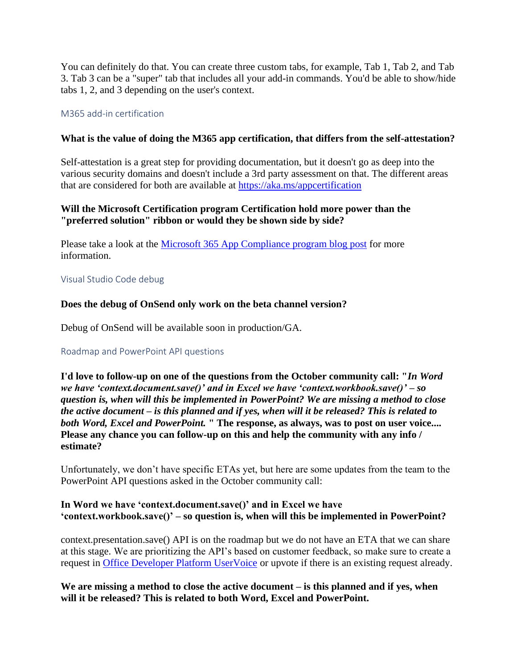You can definitely do that. You can create three custom tabs, for example, Tab 1, Tab 2, and Tab 3. Tab 3 can be a "super" tab that includes all your add-in commands. You'd be able to show/hide tabs 1, 2, and 3 depending on the user's context.

## M365 add-in certification

## **What is the value of doing the M365 app certification, that differs from the self-attestation?**

Self-attestation is a great step for providing documentation, but it doesn't go as deep into the various security domains and doesn't include a 3rd party assessment on that. The different areas that are considered for both are available at<https://aka.ms/appcertification>

## **Will the Microsoft Certification program Certification hold more power than the "preferred solution" ribbon or would they be shown side by side?**

Please take a look at the [Microsoft 365 App Compliance program blog post](https://developer.microsoft.com/office/blogs/microsoft-365-app-compliance-program-is-now-integrated-into-partner-center) for more information.

### Visual Studio Code debug

## **Does the debug of OnSend only work on the beta channel version?**

Debug of OnSend will be available soon in production/GA.

### Roadmap and PowerPoint API questions

**I'd love to follow-up on one of the questions from the October community call: "***In Word we have 'context.document.save()' and in Excel we have 'context.workbook.save()' – so question is, when will this be implemented in PowerPoint? We are missing a method to close the active document – is this planned and if yes, when will it be released? This is related to both Word, Excel and PowerPoint.* **" The response, as always, was to post on user voice.... Please any chance you can follow-up on this and help the community with any info / estimate?**

Unfortunately, we don't have specific ETAs yet, but here are some updates from the team to the PowerPoint API questions asked in the October community call:

## **In Word we have 'context.document.save()' and in Excel we have 'context.workbook.save()' – so question is, when will this be implemented in PowerPoint?**

context.presentation.save() API is on the roadmap but we do not have an ETA that we can share at this stage. We are prioritizing the API's based on customer feedback, so make sure to create a request in [Office Developer Platform UserVoice](https://officespdev.uservoice.com/) or upvote if there is an existing request already.

## **We are missing a method to close the active document – is this planned and if yes, when will it be released? This is related to both Word, Excel and PowerPoint.**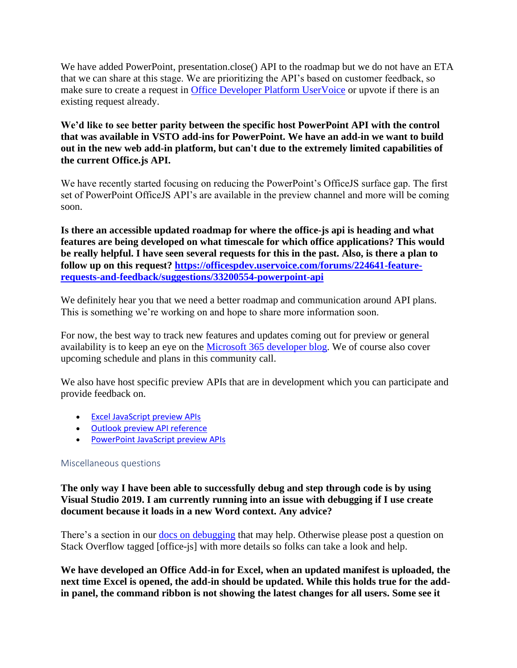We have added PowerPoint, presentation.close() API to the roadmap but we do not have an ETA that we can share at this stage. We are prioritizing the API's based on customer feedback, so make sure to create a request in [Office Developer Platform UserVoice](https://officespdev.uservoice.com/) or upvote if there is an existing request already.

**We'd like to see better parity between the specific host PowerPoint API with the control that was available in VSTO add-ins for PowerPoint. We have an add-in we want to build out in the new web add-in platform, but can't due to the extremely limited capabilities of the current Office.js API.** 

We have recently started focusing on reducing the PowerPoint's OfficeJS surface gap. The first set of PowerPoint OfficeJS API's are available in the preview channel and more will be coming soon.

**Is there an accessible updated roadmap for where the office-js api is heading and what features are being developed on what timescale for which office applications? This would be really helpful. I have seen several requests for this in the past. Also, is there a plan to follow up on this request? [https://officespdev.uservoice.com/forums/224641-feature](https://officespdev.uservoice.com/forums/224641-feature-requests-and-feedback/suggestions/33200554-powerpoint-api)[requests-and-feedback/suggestions/33200554-powerpoint-api](https://officespdev.uservoice.com/forums/224641-feature-requests-and-feedback/suggestions/33200554-powerpoint-api)**

We definitely hear you that we need a better roadmap and communication around API plans. This is something we're working on and hope to share more information soon.

For now, the best way to track new features and updates coming out for preview or general availability is to keep an eye on the [Microsoft 365 developer blog.](https://developer.microsoft.com/office/blogs/) We of course also cover upcoming schedule and plans in this community call.

We also have host specific preview APIs that are in development which you can participate and provide feedback on.

- [Excel JavaScript preview APIs](https://docs.microsoft.com/en-us/office/dev/add-ins/reference/requirement-sets/excel-preview-apis)
- [Outlook preview API reference](https://docs.microsoft.com/en-us/javascript/api/outlook?view=outlook-js-preview)
- [PowerPoint JavaScript preview APIs](https://docs.microsoft.com/en-us/office/dev/add-ins/reference/requirement-sets/powerpoint-preview-apis?view=outlook-js-preview)

## Miscellaneous questions

**The only way I have been able to successfully debug and step through code is by using Visual Studio 2019. I am currently running into an issue with debugging if I use create document because it loads in a new Word context. Any advice?**

There's a section in our [docs on debugging](https://docs.microsoft.com/office/dev/add-ins/testing/test-debug-office-add-ins) that may help. Otherwise please post a question on Stack Overflow tagged [office-js] with more details so folks can take a look and help.

**We have developed an Office Add-in for Excel, when an updated manifest is uploaded, the next time Excel is opened, the add-in should be updated. While this holds true for the addin panel, the command ribbon is not showing the latest changes for all users. Some see it**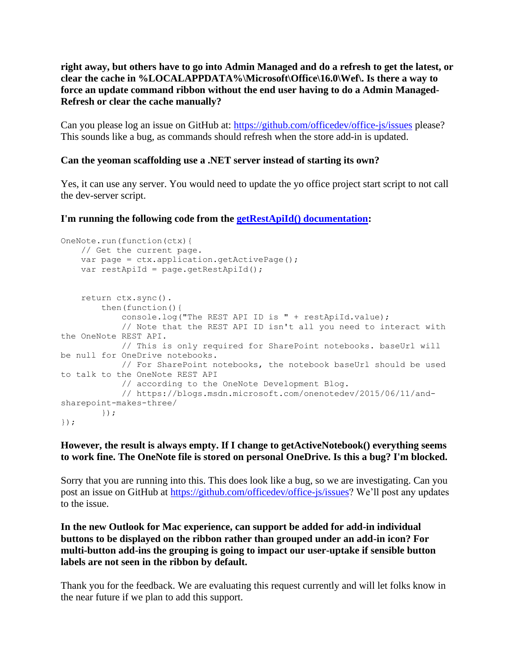**right away, but others have to go into Admin Managed and do a refresh to get the latest, or clear the cache in %LOCALAPPDATA%\Microsoft\Office\16.0\Wef\. Is there a way to force an update command ribbon without the end user having to do a Admin Managed-Refresh or clear the cache manually?**

Can you please log an issue on GitHub at:<https://github.com/officedev/office-js/issues> please? This sounds like a bug, as commands should refresh when the store add-in is updated.

## **Can the yeoman scaffolding use a .NET server instead of starting its own?**

Yes, it can use any server. You would need to update the yo office project start script to not call the dev-server script.

**I'm running the following code from the [getRestApiId\(\) documentation:](https://docs.microsoft.com/javascript/api/onenote/onenote.page?view=onenote-js-1.1#getrestapiid--)**

```
OneNote.run(function(ctx){
     // Get the current page. 
    var page = ctx.application.getActivePage();
     var restApiId = page.getRestApiId();
     return ctx.sync().
        then(function(){
             console.log("The REST API ID is " + restApiId.value);
             // Note that the REST API ID isn't all you need to interact with 
the OneNote REST API.
             // This is only required for SharePoint notebooks. baseUrl will 
be null for OneDrive notebooks.
            // For SharePoint notebooks, the notebook baseUrl should be used 
to talk to the OneNote REST API
            // according to the OneNote Development Blog.
             // https://blogs.msdn.microsoft.com/onenotedev/2015/06/11/and-
sharepoint-makes-three/
        });
});
```
## **However, the result is always empty. If I change to getActiveNotebook() everything seems to work fine. The OneNote file is stored on personal OneDrive. Is this a bug? I'm blocked.**

Sorry that you are running into this. This does look like a bug, so we are investigating. Can you post an issue on GitHub at [https://github.com/officedev/office-js/issues?](https://github.com/officedev/office-js/issues) We'll post any updates to the issue.

**In the new Outlook for Mac experience, can support be added for add-in individual buttons to be displayed on the ribbon rather than grouped under an add-in icon? For multi-button add-ins the grouping is going to impact our user-uptake if sensible button labels are not seen in the ribbon by default.**

Thank you for the feedback. We are evaluating this request currently and will let folks know in the near future if we plan to add this support.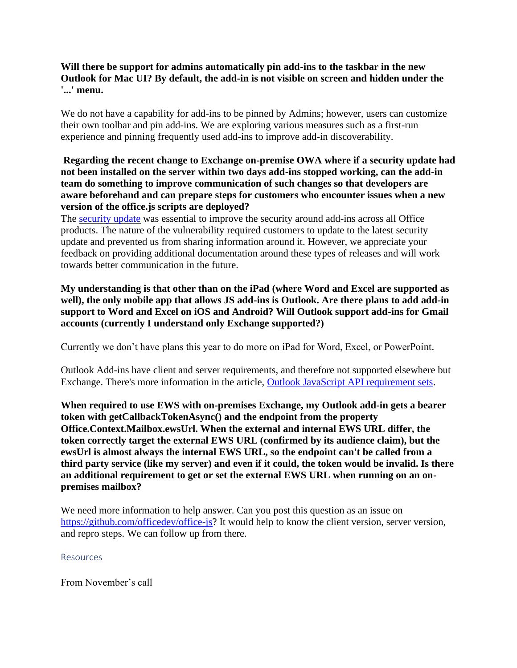## **Will there be support for admins automatically pin add-ins to the taskbar in the new Outlook for Mac UI? By default, the add-in is not visible on screen and hidden under the '...' menu.**

We do not have a capability for add-ins to be pinned by Admins; however, users can customize their own toolbar and pin add-ins. We are exploring various measures such as a first-run experience and pinning frequently used add-ins to improve add-in discoverability.

## **Regarding the recent change to Exchange on-premise OWA where if a security update had not been installed on the server within two days add-ins stopped working, can the add-in team do something to improve communication of such changes so that developers are aware beforehand and can prepare steps for customers who encounter issues when a new version of the office.js scripts are deployed?**

The [security update](https://nam06.safelinks.protection.outlook.com/?url=https%3A%2F%2Fsupport.microsoft.com%2Fen-us%2Fhelp%2F4581424%2Fdescription-of-the-security-update-for-exchange-server-october-2020&data=04%7C01%7Cdavech%40microsoft.com%7C89c8f76ffb5d4e61f79908d87f24ce52%7C72f988bf86f141af91ab2d7cd011db47%7C0%7C0%7C637399143387914368%7CUnknown%7CTWFpbGZsb3d8eyJWIjoiMC4wLjAwMDAiLCJQIjoiV2luMzIiLCJBTiI6Ik1haWwiLCJXVCI6Mn0%3D%7C1000&sdata=9krq%2FiRZlTOqiAPAQv0Ju06HijVpoTQ02csC3PHhfMQ%3D&reserved=0) was essential to improve the security around add-ins across all Office products. The nature of the vulnerability required customers to update to the latest security update and prevented us from sharing information around it. However, we appreciate your feedback on providing additional documentation around these types of releases and will work towards better communication in the future.

# **My understanding is that other than on the iPad (where Word and Excel are supported as**  well), the only mobile app that allows JS add-ins is Outlook. Are there plans to add add-in **support to Word and Excel on iOS and Android? Will Outlook support add-ins for Gmail accounts (currently I understand only Exchange supported?)**

Currently we don't have plans this year to do more on iPad for Word, Excel, or PowerPoint.

Outlook Add-ins have client and server requirements, and therefore not supported elsewhere but Exchange. There's more information in the article, [Outlook JavaScript API requirement sets.](https://docs.microsoft.com/office/dev/add-ins/reference/requirement-sets/outlook-api-requirement-sets)

**When required to use EWS with on-premises Exchange, my Outlook add-in gets a bearer token with getCallbackTokenAsync() and the endpoint from the property Office.Context.Mailbox.ewsUrl. When the external and internal EWS URL differ, the token correctly target the external EWS URL (confirmed by its audience claim), but the ewsUrl is almost always the internal EWS URL, so the endpoint can't be called from a third party service (like my server) and even if it could, the token would be invalid. Is there an additional requirement to get or set the external EWS URL when running on an onpremises mailbox?**

We need more information to help answer. Can you post this question as an issue on [https://github.com/officedev/office-js?](https://github.com/officedev/office-js) It would help to know the client version, server version, and repro steps. We can follow up from there.

## Resources

From November's call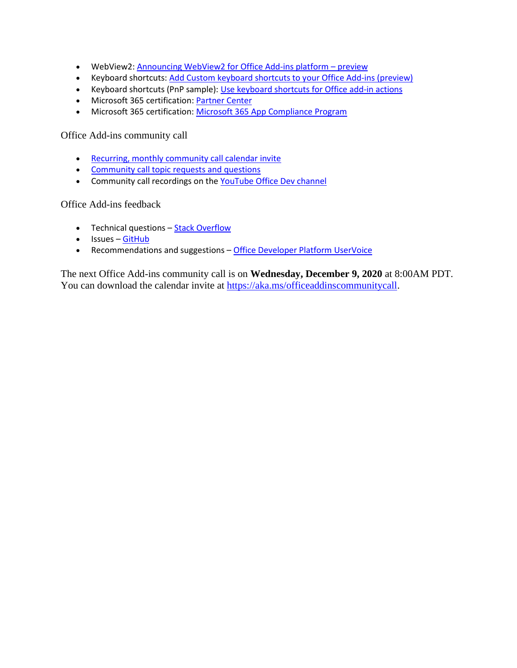- WebView2: [Announcing WebView2 for Office Add-ins platform](https://developer.microsoft.com/office/blogs/announcing-webview2-for-office-add-ins-platform/)  preview
- Keyboard shortcuts: [Add Custom keyboard shortcuts to your Office Add-ins \(preview\)](https://docs.microsoft.com/office/dev/add-ins/design/keyboard-shortcuts)
- Keyboard shortcuts (PnP sample): [Use keyboard shortcuts for Office add-in actions](https://github.com/OfficeDev/PnP-OfficeAddins/tree/master/Samples/excel-keyboard-shortcuts)
- Microsoft 365 certification: [Partner Center](https://partner.microsoft.com/)
- Microsoft 365 certification: [Microsoft 365 App Compliance Program](https://aka.ms/appcertification)

Office Add-ins community call

- [Recurring, monthly community call calendar invite](https://aka.ms/officeaddinscommunitycall)
- [Community call topic requests and questions](https://aka.ms/officeaddinsform)
- Community call recordings on the [YouTube Office Dev channel](https://aka.ms/OfficeDevYouTube)

Office Add-ins feedback

- Technical questions [Stack Overflow](https://stackoverflow.com/questions/tagged/office-js)
- Issues [GitHub](https://github.com/OfficeDev/office-js/issues)
- Recommendations and suggestions [Office Developer Platform UserVoice](https://officespdev.uservoice.com/)

The next Office Add-ins community call is on **Wednesday, December 9, 2020** at 8:00AM PDT. You can download the calendar invite at [https://aka.ms/officeaddinscommunitycall.](https://aka.ms/officeaddinscommunitycall)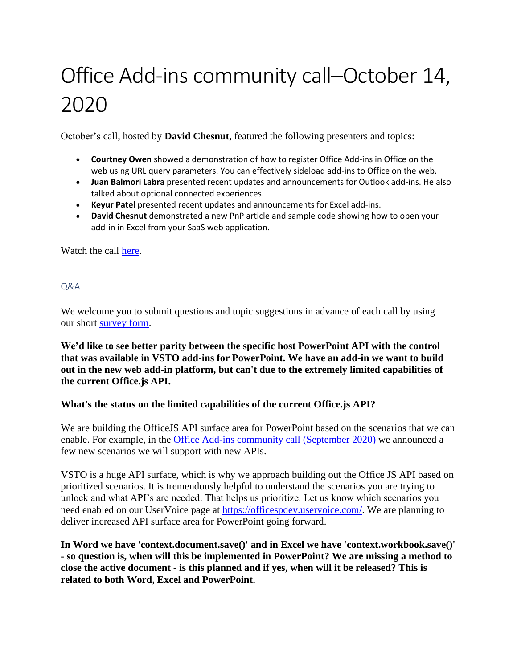# Office Add-ins community call–October 14, 2020

October's call, hosted by **David Chesnut**, featured the following presenters and topics:

- **Courtney Owen** showed a demonstration of how to register Office Add-ins in Office on the web using URL query parameters. You can effectively sideload add-ins to Office on the web.
- **Juan Balmori Labra** presented recent updates and announcements for Outlook add-ins. He also talked about optional connected experiences.
- **Keyur Patel** presented recent updates and announcements for Excel add-ins.
- **David Chesnut** demonstrated a new PnP article and sample code showing how to open your add-in in Excel from your SaaS web application.

Watch the call [here.](https://www.youtube.com/embed/ab2QrLNosdk)

## Q&A

We welcome you to submit questions and topic suggestions in advance of each call by using our short [survey form.](https://aka.ms/officeaddinsform)

**We'd like to see better parity between the specific host PowerPoint API with the control that was available in VSTO add-ins for PowerPoint. We have an add-in we want to build out in the new web add-in platform, but can't due to the extremely limited capabilities of the current Office.js API.**

# **What's the status on the limited capabilities of the current Office.js API?**

We are building the OfficeJS API surface area for PowerPoint based on the scenarios that we can enable. For example, in the [Office Add-ins community call \(September 2020\)](https://developer.microsoft.com/office/blogs/office-add-ins-community-call-september-9-2020/) we announced a few new scenarios we will support with new APIs.

VSTO is a huge API surface, which is why we approach building out the Office JS API based on prioritized scenarios. It is tremendously helpful to understand the scenarios you are trying to unlock and what API's are needed. That helps us prioritize. Let us know which scenarios you need enabled on our UserVoice page at [https://officespdev.uservoice.com/.](https://officespdev.uservoice.com/) We are planning to deliver increased API surface area for PowerPoint going forward.

**In Word we have 'context.document.save()' and in Excel we have 'context.workbook.save()' - so question is, when will this be implemented in PowerPoint? We are missing a method to close the active document - is this planned and if yes, when will it be released? This is related to both Word, Excel and PowerPoint.**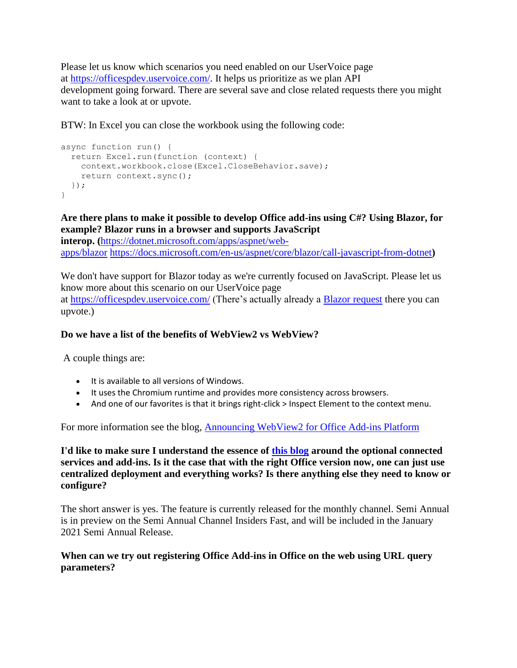Please let us know which scenarios you need enabled on our UserVoice page at [https://officespdev.uservoice.com/.](https://officespdev.uservoice.com/) It helps us prioritize as we plan API development going forward. There are several save and close related requests there you might want to take a look at or upvote.

BTW: In Excel you can close the workbook using the following code:

```
async function run() {
  return Excel.run(function (context) {
     context.workbook.close(Excel.CloseBehavior.save);
     return context.sync();
 });
}
```
**Are there plans to make it possible to develop Office add-ins using C#? Using Blazor, for example? Blazor runs in a browser and supports JavaScript** 

**interop. (**[https://dotnet.microsoft.com/apps/aspnet/web](https://dotnet.microsoft.com/apps/aspnet/web-apps/blazor)[apps/blazor](https://dotnet.microsoft.com/apps/aspnet/web-apps/blazor) [https://docs.microsoft.com/en-us/aspnet/core/blazor/call-javascript-from-dotnet](https://docs.microsoft.com/en-us/aspnet/core/blazor/call-javascript-from-dotnett)**)**

We don't have support for Blazor today as we're currently focused on JavaScript. Please let us know more about this scenario on our UserVoice page at <https://officespdev.uservoice.com/> (There's actually already a [Blazor request](https://officespdev.uservoice.com/forums/224641-feature-requests-and-feedback/suggestions/39203794-blazor-development-support) there you can upvote.)

## **Do we have a list of the benefits of WebView2 vs WebView?**

A couple things are:

- It is available to all versions of Windows.
- It uses the Chromium runtime and provides more consistency across browsers.
- And one of our favorites is that it brings right-click > Inspect Element to the context menu.

For more information see the blog, [Announcing WebView2 for Office Add-ins Platform](https://developer.microsoft.com/office/blogs/announcing-webview2-for-office-add-ins-platform/)

**I'd like to make sure I understand the essence of [this blog](https://developer.microsoft.com/en-us/office/blogs/outlook-add-ins-and-optional-connected-experiences/) around the optional connected services and add-ins. Is it the case that with the right Office version now, one can just use centralized deployment and everything works? Is there anything else they need to know or configure?**

The short answer is yes. The feature is currently released for the monthly channel. Semi Annual is in preview on the Semi Annual Channel Insiders Fast, and will be included in the January 2021 Semi Annual Release.

## **When can we try out registering Office Add-ins in Office on the web using URL query parameters?**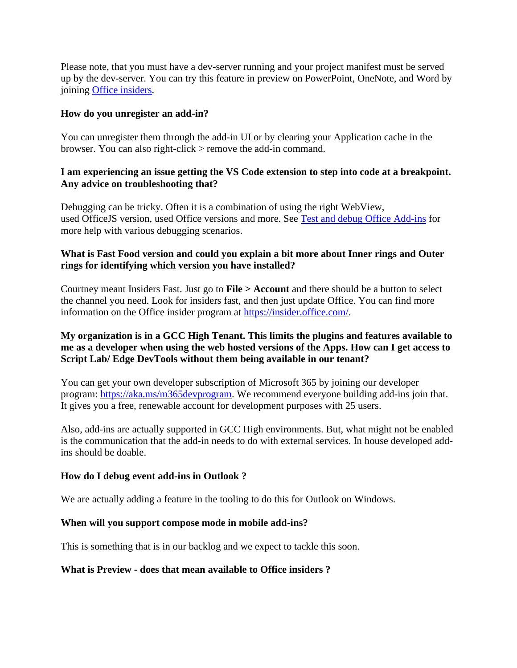Please note, that you must have a dev-server running and your project manifest must be served up by the dev-server. You can try this feature in preview on PowerPoint, OneNote, and Word by joining [Office insiders.](https://insider.office.com/)

## **How do you unregister an add-in?**

You can unregister them through the add-in UI or by clearing your Application cache in the browser. You can also right-click > remove the add-in command.

## **I am experiencing an issue getting the VS Code extension to step into code at a breakpoint. Any advice on troubleshooting that?**

Debugging can be tricky. Often it is a combination of using the right WebView, used OfficeJS version, used Office versions and more. See [Test and debug Office Add-ins](https://docs.microsoft.com/office/dev/add-ins/testing/test-debug-office-add-ins) for more help with various debugging scenarios.

## **What is Fast Food version and could you explain a bit more about Inner rings and Outer rings for identifying which version you have installed?**

Courtney meant Insiders Fast. Just go to **File > Account** and there should be a button to select the channel you need. Look for insiders fast, and then just update Office. You can find more information on the Office insider program at [https://insider.office.com/.](https://insider.office.com/en-us/)

# **My organization is in a GCC High Tenant. This limits the plugins and features available to me as a developer when using the web hosted versions of the Apps. How can I get access to Script Lab/ Edge DevTools without them being available in our tenant?**

You can get your own developer subscription of Microsoft 365 by joining our developer program: [https://aka.ms/m365devprogram.](https://aka.ms/m365devprogram) We recommend everyone building add-ins join that. It gives you a free, renewable account for development purposes with 25 users.

Also, add-ins are actually supported in GCC High environments. But, what might not be enabled is the communication that the add-in needs to do with external services. In house developed addins should be doable.

## **How do I debug event add-ins in Outlook ?**

We are actually adding a feature in the tooling to do this for Outlook on Windows.

## **When will you support compose mode in mobile add-ins?**

This is something that is in our backlog and we expect to tackle this soon.

## **What is Preview - does that mean available to Office insiders ?**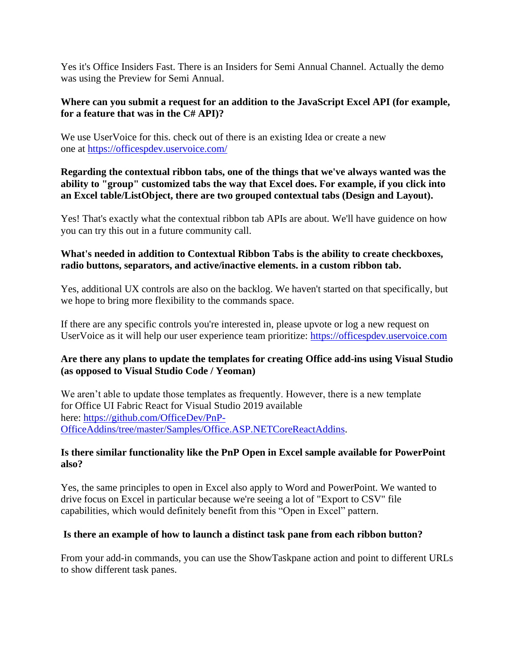Yes it's Office Insiders Fast. There is an Insiders for Semi Annual Channel. Actually the demo was using the Preview for Semi Annual.

## **Where can you submit a request for an addition to the JavaScript Excel API (for example, for a feature that was in the C# API)?**

We use UserVoice for this. check out of there is an existing Idea or create a new one at <https://officespdev.uservoice.com/>

**Regarding the contextual ribbon tabs, one of the things that we've always wanted was the ability to "group" customized tabs the way that Excel does. For example, if you click into an Excel table/ListObject, there are two grouped contextual tabs (Design and Layout).**

Yes! That's exactly what the contextual ribbon tab APIs are about. We'll have guidence on how you can try this out in a future community call.

## **What's needed in addition to Contextual Ribbon Tabs is the ability to create checkboxes, radio buttons, separators, and active/inactive elements. in a custom ribbon tab.**

Yes, additional UX controls are also on the backlog. We haven't started on that specifically, but we hope to bring more flexibility to the commands space.

If there are any specific controls you're interested in, please upvote or log a new request on UserVoice as it will help our user experience team prioritize: [https://officespdev.uservoice.com](https://officespdev.uservoice.com/)

# **Are there any plans to update the templates for creating Office add-ins using Visual Studio (as opposed to Visual Studio Code / Yeoman)**

We aren't able to update those templates as frequently. However, there is a new template for Office UI Fabric React for Visual Studio 2019 available here: [https://github.com/OfficeDev/PnP-](https://github.com/OfficeDev/PnP-OfficeAddins/tree/master/Samples/Office.ASP.NETCoreReactAddins)[OfficeAddins/tree/master/Samples/Office.ASP.NETCoreReactAddins.](https://github.com/OfficeDev/PnP-OfficeAddins/tree/master/Samples/Office.ASP.NETCoreReactAddins)

## **Is there similar functionality like the PnP Open in Excel sample available for PowerPoint also?**

Yes, the same principles to open in Excel also apply to Word and PowerPoint. We wanted to drive focus on Excel in particular because we're seeing a lot of "Export to CSV" file capabilities, which would definitely benefit from this "Open in Excel" pattern.

# **Is there an example of how to launch a distinct task pane from each ribbon button?**

From your add-in commands, you can use the ShowTaskpane action and point to different URLs to show different task panes.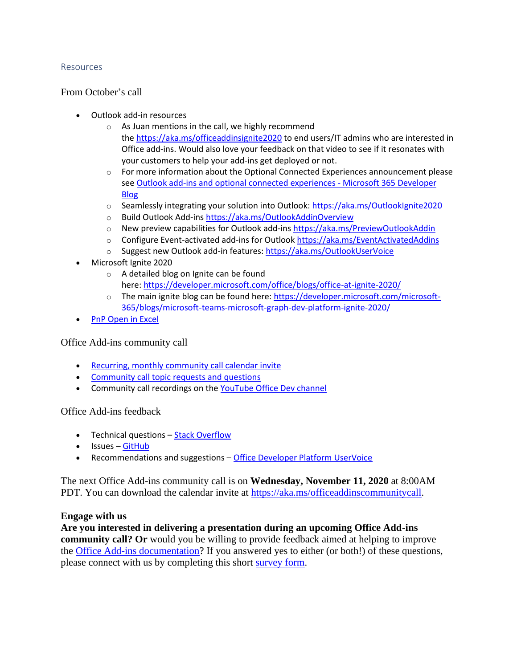### Resources

From October's call

- Outlook add-in resources
	- o As Juan mentions in the call, we highly recommend the <https://aka.ms/officeaddinsignite2020> to end users/IT admins who are interested in Office add-ins. Would also love your feedback on that video to see if it resonates with your customers to help your add-ins get deployed or not.
	- $\circ$  For more information about the Optional Connected Experiences announcement please see [Outlook add-ins and optional connected experiences -](https://developer.microsoft.com/en-us/office/blogs/outlook-add-ins-and-optional-connected-experiences/) Microsoft 365 Developer [Blog](https://developer.microsoft.com/en-us/office/blogs/outlook-add-ins-and-optional-connected-experiences/)
	- o Seamlessly integrating your solution into Outlook: <https://aka.ms/OutlookIgnite2020>
	- o Build Outlook Add-ins <https://aka.ms/OutlookAddinOverview>
	- o New preview capabilities for Outlook add-ins <https://aka.ms/PreviewOutlookAddin>
	- o Configure Event-activated add-ins for Outlook <https://aka.ms/EventActivatedAddins>
	- o Suggest new Outlook add-in features: <https://aka.ms/OutlookUserVoice>
- Microsoft Ignite 2020
	- o A detailed blog on Ignite can be found here: [https://developer.microsoft.com/office/blogs/office-at-ignite-2020/](https://developer.microsoft.com/en-us/office/blogs/office-at-ignite-2020/)
	- $\circ$  The main ignite blog can be found here: [https://developer.microsoft.com/microsoft-](https://developer.microsoft.com/en-us/microsoft-365/blogs/microsoft-teams-microsoft-graph-dev-platform-ignite-2020/)[365/blogs/microsoft-teams-microsoft-graph-dev-platform-ignite-2020/](https://developer.microsoft.com/en-us/microsoft-365/blogs/microsoft-teams-microsoft-graph-dev-platform-ignite-2020/)
- **PnP [Open in Excel](https://docs.microsoft.com/office/dev/add-ins/excel/pnp-open-in-excel)**

Office Add-ins community call

- [Recurring, monthly community call calendar invite](https://aka.ms/officeaddinscommunitycall)
- [Community call topic requests and questions](https://aka.ms/officeaddinsform)
- Community call recordings on the [YouTube Office Dev channel](https://aka.ms/OfficeDevYouTube)

Office Add-ins feedback

- Technical questions [Stack Overflow](https://stackoverflow.com/questions/tagged/office-js)
- Issues [GitHub](https://github.com/OfficeDev/office-js/issues)
- Recommendations and suggestions [Office Developer Platform UserVoice](https://officespdev.uservoice.com/)

The next Office Add-ins community call is on **Wednesday, November 11, 2020** at 8:00AM PDT. You can download the calendar invite at [https://aka.ms/officeaddinscommunitycall.](https://aka.ms/officeaddinscommunitycall)

### **Engage with us**

**Are you interested in delivering a presentation during an upcoming Office Add-ins community call? Or** would you be willing to provide feedback aimed at helping to improve the [Office Add-ins documentation?](https://docs.microsoft.com/office/dev/add-ins/) If you answered yes to either (or both!) of these questions, please connect with us by completing this short [survey form.](https://aka.ms/office-add-ins-engage)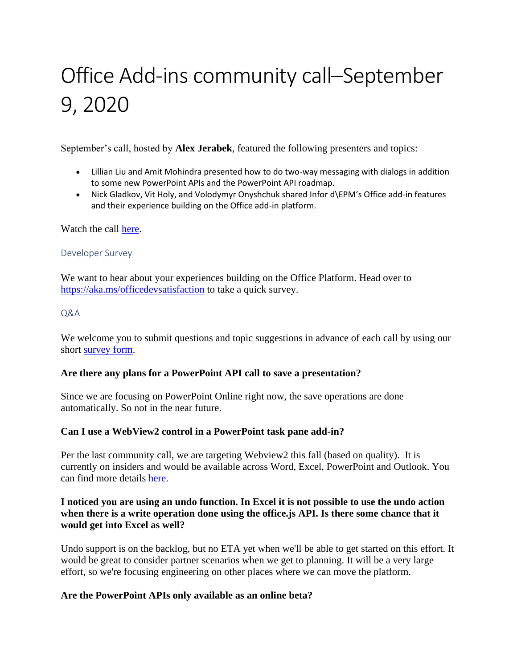# Office Add-ins community call–September 9, 2020

September's call, hosted by **Alex Jerabek**, featured the following presenters and topics:

- Lillian Liu and Amit Mohindra presented how to do two-way messaging with dialogs in addition to some new PowerPoint APIs and the PowerPoint API roadmap.
- Nick Gladkov, Vit Holy, and Volodymyr Onyshchuk shared Infor d\EPM's Office add-in features and their experience building on the Office add-in platform.

Watch the call [here.](https://www.youtube.com/embed/VZD3bXLX1ts)

## Developer Survey

We want to hear about your experiences building on the Office Platform. Head over to <https://aka.ms/officedevsatisfaction> to take a quick survey.

## Q&A

We welcome you to submit questions and topic suggestions in advance of each call by using our short [survey form.](https://aka.ms/officeaddinsform)

# **Are there any plans for a PowerPoint API call to save a presentation?**

Since we are focusing on PowerPoint Online right now, the save operations are done automatically. So not in the near future.

# **Can I use a WebView2 control in a PowerPoint task pane add-in?**

Per the last community call, we are targeting Webview2 this fall (based on quality). It is currently on insiders and would be available across Word, Excel, PowerPoint and Outlook. You can find more details [here.](https://developer.microsoft.com/office/blogs/announcing-webview2-for-office-add-ins-platform/)

# **I noticed you are using an undo function. In Excel it is not possible to use the undo action when there is a write operation done using the office.js API. Is there some chance that it would get into Excel as well?**

Undo support is on the backlog, but no ETA yet when we'll be able to get started on this effort. It would be great to consider partner scenarios when we get to planning. It will be a very large effort, so we're focusing engineering on other places where we can move the platform.

# **Are the PowerPoint APIs only available as an online beta?**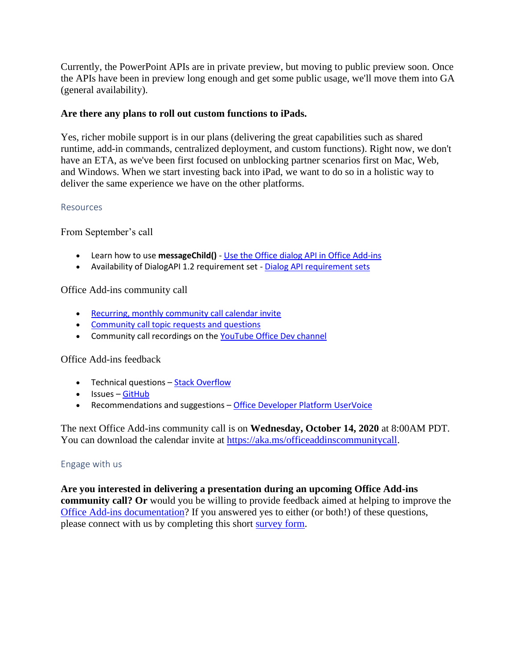Currently, the PowerPoint APIs are in private preview, but moving to public preview soon. Once the APIs have been in preview long enough and get some public usage, we'll move them into GA (general availability).

## **Are there any plans to roll out custom functions to iPads.**

Yes, richer mobile support is in our plans (delivering the great capabilities such as shared runtime, add-in commands, centralized deployment, and custom functions). Right now, we don't have an ETA, as we've been first focused on unblocking partner scenarios first on Mac, Web, and Windows. When we start investing back into iPad, we want to do so in a holistic way to deliver the same experience we have on the other platforms.

### Resources

From September's call

- Learn how to use **messageChild()** [Use the Office dialog API in Office Add-ins](https://docs.microsoft.com/office/dev/add-ins/develop/dialog-api-in-office-add-ins#pass-information-to-the-dialog-box)
- Availability of DialogAPI 1.2 requirement set [Dialog API requirement sets](https://docs.microsoft.com/office/dev/add-ins/reference/requirement-sets/dialog-api-requirement-sets)

Office Add-ins community call

- [Recurring, monthly community call calendar invite](https://aka.ms/officeaddinscommunitycall)
- [Community call topic requests and questions](https://aka.ms/officeaddinsform)
- Community call recordings on the [YouTube Office Dev channel](https://aka.ms/OfficeDevYouTube)

## Office Add-ins feedback

- Technical questions [Stack Overflow](https://stackoverflow.com/questions/tagged/office-js)
- Issues [GitHub](https://github.com/OfficeDev/office-js/issues)
- Recommendations and suggestions [Office Developer Platform UserVoice](https://officespdev.uservoice.com/)

The next Office Add-ins community call is on **Wednesday, October 14, 2020** at 8:00AM PDT. You can download the calendar invite at [https://aka.ms/officeaddinscommunitycall.](https://aka.ms/officeaddinscommunitycall)

## Engage with us

**Are you interested in delivering a presentation during an upcoming Office Add-ins community call? Or** would you be willing to provide feedback aimed at helping to improve the [Office Add-ins documentation?](https://docs.microsoft.com/office/dev/add-ins/) If you answered yes to either (or both!) of these questions, please connect with us by completing this short [survey form.](https://aka.ms/office-add-ins-engage)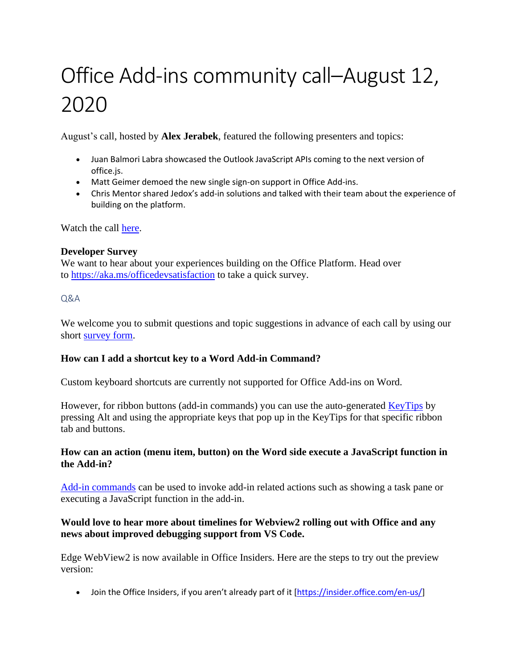# Office Add-ins community call–August 12, 2020

August's call, hosted by **Alex Jerabek**, featured the following presenters and topics:

- Juan Balmori Labra showcased the Outlook JavaScript APIs coming to the next version of office.js.
- Matt Geimer demoed the new single sign-on support in Office Add-ins.
- Chris Mentor shared Jedox's add-in solutions and talked with their team about the experience of building on the platform.

Watch the call [here.](https://www.youtube.com/embed/3FXjhkC7TOY)

## **Developer Survey**

We want to hear about your experiences building on the Office Platform. Head over to <https://aka.ms/officedevsatisfaction> to take a quick survey.

## $O&A$

We welcome you to submit questions and topic suggestions in advance of each call by using our short [survey form.](https://aka.ms/officeaddinsform)

# **How can I add a shortcut key to a Word Add-in Command?**

Custom keyboard shortcuts are currently not supported for Office Add-ins on Word.

However, for ribbon buttons (add-in commands) you can use the auto-generated [KeyTips](https://support.microsoft.com/en-gb/office/use-the-keyboard-to-work-with-the-ribbon-954cd3f7-2f77-4983-978d-c09b20e31f0e) by pressing Alt and using the appropriate keys that pop up in the KeyTips for that specific ribbon tab and buttons.

# **How can an action (menu item, button) on the Word side execute a JavaScript function in the Add-in?**

[Add-in commands](https://docs.microsoft.com/en-us/office/dev/add-ins/design/add-in-commands) can be used to invoke add-in related actions such as showing a task pane or executing a JavaScript function in the add-in.

# **Would love to hear more about timelines for Webview2 rolling out with Office and any news about improved debugging support from VS Code.**

Edge WebView2 is now available in Office Insiders. Here are the steps to try out the preview version:

• Join the Office Insiders, if you aren't already part of it [\[https://insider.office.com/en-us/\]](https://insider.office.com/en-us/)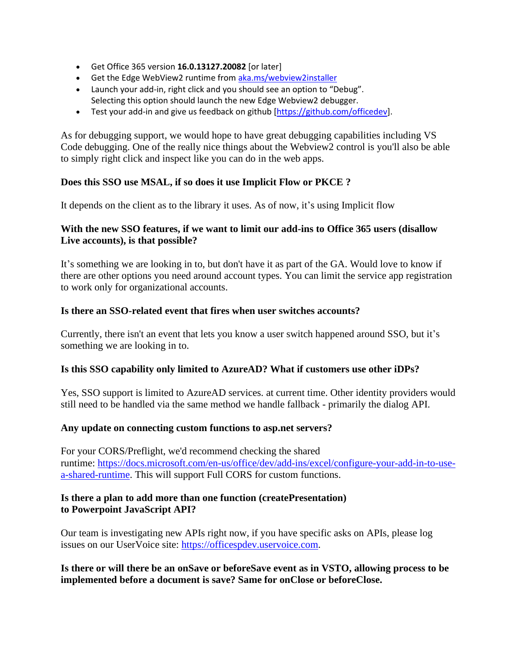- Get Office 365 version **16.0.13127.20082** [or later]
- Get the Edge WebView2 runtime from [aka.ms/webview2installer](http://aka.ms/webview2installer)
- Launch your add-in, right click and you should see an option to "Debug". Selecting this option should launch the new Edge Webview2 debugger.
- Test your add-in and give us feedback on github [\[https://github.com/officedev\]](https://github.com/officedev).

As for debugging support, we would hope to have great debugging capabilities including VS Code debugging. One of the really nice things about the Webview2 control is you'll also be able to simply right click and inspect like you can do in the web apps.

## **Does this SSO use MSAL, if so does it use Implicit Flow or PKCE ?**

It depends on the client as to the library it uses. As of now, it's using Implicit flow

## **With the new SSO features, if we want to limit our add-ins to Office 365 users (disallow Live accounts), is that possible?**

It's something we are looking in to, but don't have it as part of the GA. Would love to know if there are other options you need around account types. You can limit the service app registration to work only for organizational accounts.

### **Is there an SSO-related event that fires when user switches accounts?**

Currently, there isn't an event that lets you know a user switch happened around SSO, but it's something we are looking in to.

## **Is this SSO capability only limited to AzureAD? What if customers use other iDPs?**

Yes, SSO support is limited to AzureAD services. at current time. Other identity providers would still need to be handled via the same method we handle fallback - primarily the dialog API.

### **Any update on connecting custom functions to asp.net servers?**

For your CORS/Preflight, we'd recommend checking the shared runtime: [https://docs.microsoft.com/en-us/office/dev/add-ins/excel/configure-your-add-in-to-use](https://docs.microsoft.com/en-us/office/dev/add-ins/excel/configure-your-add-in-to-use-a-shared-runtime)[a-shared-runtime.](https://docs.microsoft.com/en-us/office/dev/add-ins/excel/configure-your-add-in-to-use-a-shared-runtime) This will support Full CORS for custom functions.

## **Is there a plan to add more than one function (createPresentation) to Powerpoint JavaScript API?**

Our team is investigating new APIs right now, if you have specific asks on APIs, please log issues on our UserVoice site: [https://officespdev.uservoice.com.](https://officespdev.uservoice.com/)

**Is there or will there be an onSave or beforeSave event as in VSTO, allowing process to be implemented before a document is save? Same for onClose or beforeClose.**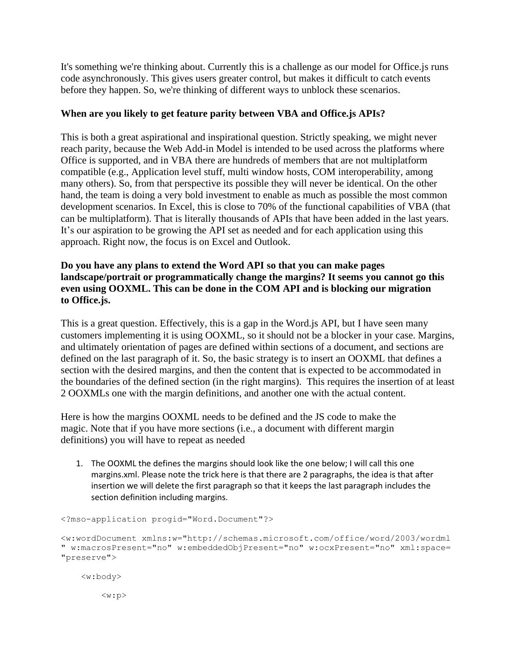It's something we're thinking about. Currently this is a challenge as our model for Office.js runs code asynchronously. This gives users greater control, but makes it difficult to catch events before they happen. So, we're thinking of different ways to unblock these scenarios.

# **When are you likely to get feature parity between VBA and Office.js APIs?**

This is both a great aspirational and inspirational question. Strictly speaking, we might never reach parity, because the Web Add-in Model is intended to be used across the platforms where Office is supported, and in VBA there are hundreds of members that are not multiplatform compatible (e.g., Application level stuff, multi window hosts, COM interoperability, among many others). So, from that perspective its possible they will never be identical. On the other hand, the team is doing a very bold investment to enable as much as possible the most common development scenarios. In Excel, this is close to 70% of the functional capabilities of VBA (that can be multiplatform). That is literally thousands of APIs that have been added in the last years. It's our aspiration to be growing the API set as needed and for each application using this approach. Right now, the focus is on Excel and Outlook.

## **Do you have any plans to extend the Word API so that you can make pages landscape/portrait or programmatically change the margins? It seems you cannot go this even using OOXML. This can be done in the COM API and is blocking our migration to Office.js.**

This is a great question. Effectively, this is a gap in the Word.js API, but I have seen many customers implementing it is using OOXML, so it should not be a blocker in your case. Margins, and ultimately orientation of pages are defined within sections of a document, and sections are defined on the last paragraph of it. So, the basic strategy is to insert an OOXML that defines a section with the desired margins, and then the content that is expected to be accommodated in the boundaries of the defined section (in the right margins). This requires the insertion of at least 2 OOXMLs one with the margin definitions, and another one with the actual content.

Here is how the margins OOXML needs to be defined and the JS code to make the magic. Note that if you have more sections (i.e., a document with different margin definitions) you will have to repeat as needed

1. The OOXML the defines the margins should look like the one below; I will call this one margins.xml. Please note the trick here is that there are 2 paragraphs, the idea is that after insertion we will delete the first paragraph so that it keeps the last paragraph includes the section definition including margins.

```
<?mso-application progid="Word.Document"?>
<w:wordDocument xmlns:w="http://schemas.microsoft.com/office/word/2003/wordml
" w:macrosPresent="no" w:embeddedObjPresent="no" w:ocxPresent="no" xml:space=
"preserve">
     <w:body>
```
 $\langle w:p \rangle$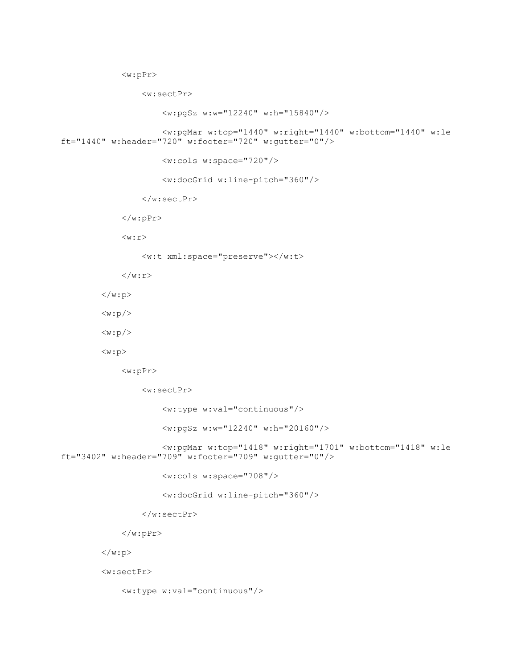```
 <w:pPr>
```
<w:sectPr>

</w:sectPr>

<w:pgSz w:w="12240" w:h="15840"/>

 <w:pgMar w:top="1440" w:right="1440" w:bottom="1440" w:le ft="1440" w:header="720" w:footer="720" w:gutter="0"/>

<w:cols w:space="720"/>

<w:docGrid w:line-pitch="360"/>

<w:t xml:space="preserve"></w:t>

 $\langle$ /w:r>

 $\langle$ /w:pPr>

 $\langle w : r \rangle$ 

 $\langle$ /w:p>

 $\langle w:p \rangle$ 

 $\langle w:p \rangle$ 

<w:p>

<w:pPr>

<w:sectPr>

<w:type w:val="continuous"/>

<w:pgSz w:w="12240" w:h="20160"/>

<w:pgMar w:top="1418" w:right="1701" w:bottom="1418" w:le

ft="3402" w:header="709" w:footer="709" w:gutter="0"/>

<w:cols w:space="708"/>

<w:docGrid w:line-pitch="360"/>

</w:sectPr>

 $\langle$ /w:pPr>

 $\langle$ /w:p>

<w:sectPr>

<w:type w:val="continuous"/>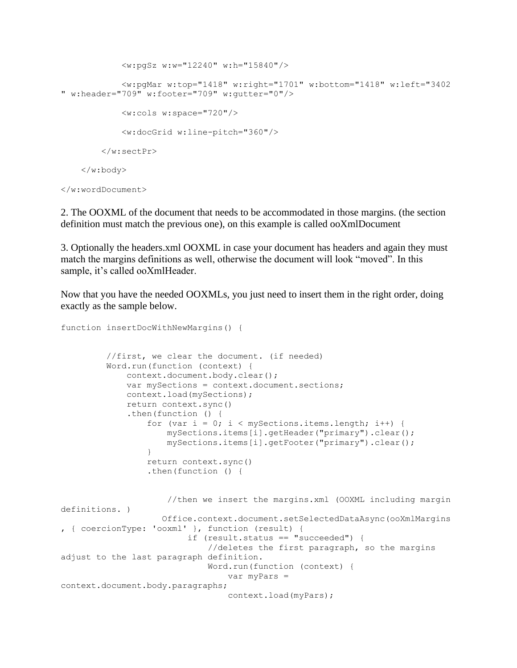```
 <w:pgSz w:w="12240" w:h="15840"/>
             <w:pgMar w:top="1418" w:right="1701" w:bottom="1418" w:left="3402
" w:header="709" w:footer="709" w:gutter="0"/>
             <w:cols w:space="720"/>
             <w:docGrid w:line-pitch="360"/>
         </w:sectPr>
     </w:body>
</w:wordDocument>
```
2. The OOXML of the document that needs to be accommodated in those margins. (the section definition must match the previous one), on this example is called ooXmlDocument

3. Optionally the headers.xml OOXML in case your document has headers and again they must match the margins definitions as well, otherwise the document will look "moved". In this sample, it's called ooXmlHeader.

Now that you have the needed OOXMLs, you just need to insert them in the right order, doing exactly as the sample below.

```
function insertDocWithNewMargins() {
          //first, we clear the document. (if needed)
          Word.run(function (context) {
              context.document.body.clear();
              var mySections = context.document.sections;
              context.load(mySections);
              return context.sync()
              .then(function () {
                 for (var i = 0; i < mySections.items.length; i++) {
                      mySections.items[i].getHeader("primary").clear();
                     mySections.items[i].getFooter("primary").clear();
  }
                  return context.sync()
                 .then(function () {
                      //then we insert the margins.xml (OOXML including margin 
definitions. )
                     Office.context.document.setSelectedDataAsync(ooXmlMargins
, { coercionType: 'ooxml' }, function (result) {
                          if (result.status == "succeeded") {
                              //deletes the first paragraph, so the margins 
adjust to the last paragraph definition.
                              Word.run(function (context) {
                                  var myPars = 
context.document.body.paragraphs;
                                 context.load(myPars);
```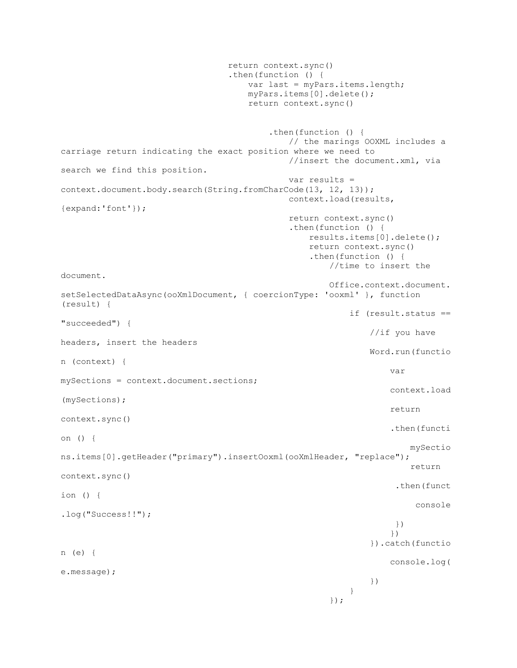```
 return context.sync()
                              .then(function () {
                                 var last = myPars.items.length;
                                myPars.items[0].delete();
                                return context.sync()
                                     .then(function () {
                                        // the marings OOXML includes a 
carriage return indicating the exact position where we need to
                                        //insert the document.xml, via 
search we find this position.
                                       var results = 
context.document.body.search(String.fromCharCode(13, 12, 13));
                                        context.load(results, 
{expand:'font'});
                                        return context.sync()
                                       .then(function () {
                                            results.items[0].delete();
                                           return context.sync()
                                           .then(function () {
                                               //time to insert the 
document.
                                               Office.context.document.
setSelectedDataAsync(ooXmlDocument, { coercionType: 'ooxml' }, function 
(result) {
                                                   if (result.status == 
"succeeded") {
                                                      //if you have 
headers, insert the headers
                                                      Word.run(functio
n (context) {
 var 
mySections = context.document.sections;
                                                         context.load
(mySections);
                                                         return 
context.sync()
                                                          .then(functi
on () {
mySection and the mySection and the mySection and the mySection and the mySection and the mySection and the mySection and the mySection and the mySection and the mySection and the mySection and the mySection and the mySect
ns.items[0].getHeader("primary").insertOoxml(ooXmlHeader, "replace");
                                                             return 
context.sync()
                                                           .then(funct
ion () {
console and the console of the console console \sim.log("Success!!");
 })
 })
                                                       }).catch(functio
n (e) {
                                                          console.log(
e.message);
 })
 }
 });
```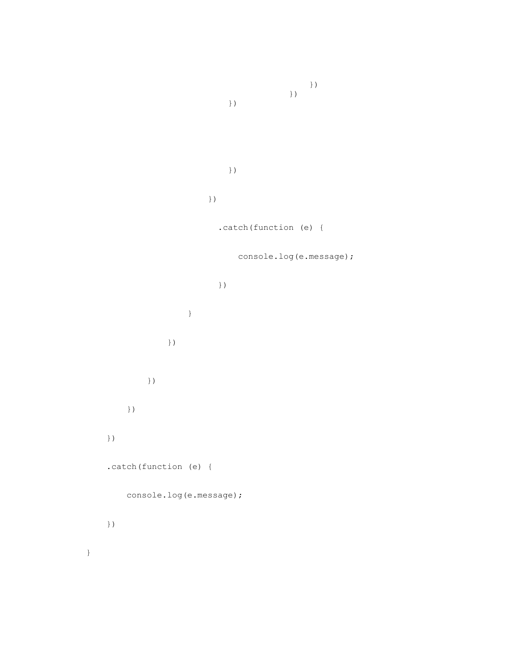}) }) }) }) }) .catch(function (e) { console.log(e.message); }) } }) }) }) }) .catch(function (e) { console.log(e.message); })

}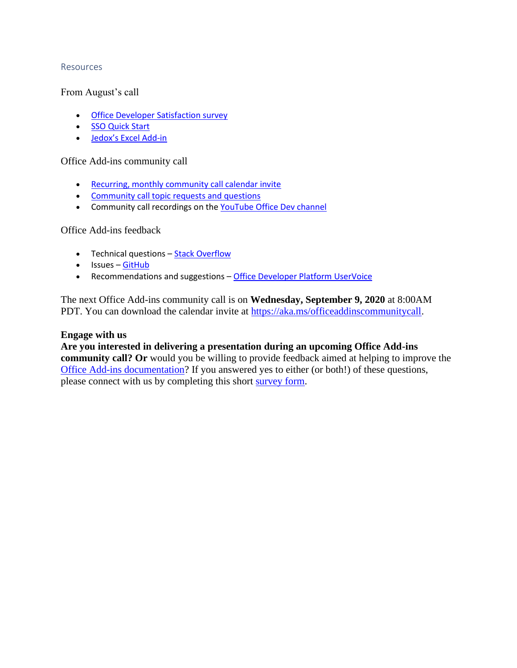### Resources

### From August's call

- [Office Developer Satisfaction survey](https://aka.ms/officedevsatisfaction)
- [SSO Quick Start](https://docs.microsoft.com/office/dev/add-ins/quickstarts/sso-quickstart)
- [Jedox's Excel Add](https://www.jedox.com/en/blog/jedox-planner-add-in-for-excel/)-in

### Office Add-ins community call

- [Recurring, monthly community call calendar invite](https://aka.ms/officeaddinscommunitycall)
- [Community call topic requests and questions](https://aka.ms/officeaddinsform)
- Community call recordings on the [YouTube Office Dev channel](https://aka.ms/OfficeDevYouTube)

### Office Add-ins feedback

- Technical questions [Stack Overflow](https://stackoverflow.com/questions/tagged/office-js)
- Issues [GitHub](https://github.com/OfficeDev/office-js/issues)
- Recommendations and suggestions [Office Developer Platform UserVoice](https://officespdev.uservoice.com/)

The next Office Add-ins community call is on **Wednesday, September 9, 2020** at 8:00AM PDT. You can download the calendar invite at [https://aka.ms/officeaddinscommunitycall.](https://aka.ms/officeaddinscommunitycall)

### **Engage with us**

## **Are you interested in delivering a presentation during an upcoming Office Add-ins**

**community call? Or** would you be willing to provide feedback aimed at helping to improve the [Office Add-ins documentation?](https://docs.microsoft.com/office/dev/add-ins/) If you answered yes to either (or both!) of these questions, please connect with us by completing this short [survey form.](https://aka.ms/office-add-ins-engage)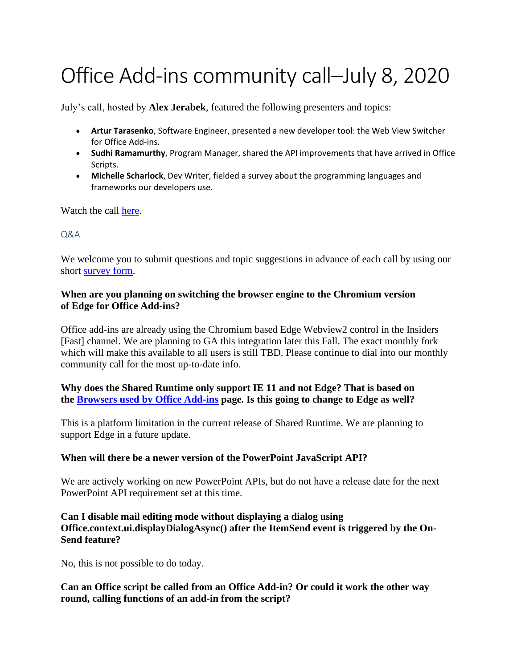# Office Add-ins community call–July 8, 2020

July's call, hosted by **Alex Jerabek**, featured the following presenters and topics:

- **Artur Tarasenko**, Software Engineer, presented a new developer tool: the Web View Switcher for Office Add-ins.
- **Sudhi Ramamurthy**, Program Manager, shared the API improvements that have arrived in Office Scripts.
- **Michelle Scharlock**, Dev Writer, fielded a survey about the programming languages and frameworks our developers use.

Watch the call [here.](https://www.youtube.com/embed/TLNWq6YC6nU)

## Q&A

We welcome you to submit questions and topic suggestions in advance of each call by using our short [survey form.](https://aka.ms/officeaddinsform)

## **When are you planning on switching the browser engine to the Chromium version of Edge for Office Add-ins?**

Office add-ins are already using the Chromium based Edge Webview2 control in the Insiders [Fast] channel. We are planning to GA this integration later this Fall. The exact monthly fork which will make this available to all users is still TBD. Please continue to dial into our monthly community call for the most up-to-date info.

# **Why does the Shared Runtime only support IE 11 and not Edge? That is based on the Browsers used [by Office Add-ins](https://docs.microsoft.com/office/dev/add-ins/concepts/browsers-used-by-office-web-add-ins) page. Is this going to change to Edge as well?**

This is a platform limitation in the current release of Shared Runtime. We are planning to support Edge in a future update.

## **When will there be a newer version of the PowerPoint JavaScript API?**

We are actively working on new PowerPoint APIs, but do not have a release date for the next PowerPoint API requirement set at this time.

## **Can I disable mail editing mode without displaying a dialog using Office.context.ui.displayDialogAsync() after the ItemSend event is triggered by the On-Send feature?**

No, this is not possible to do today.

# **Can an Office script be called from an Office Add-in? Or could it work the other way round, calling functions of an add-in from the script?**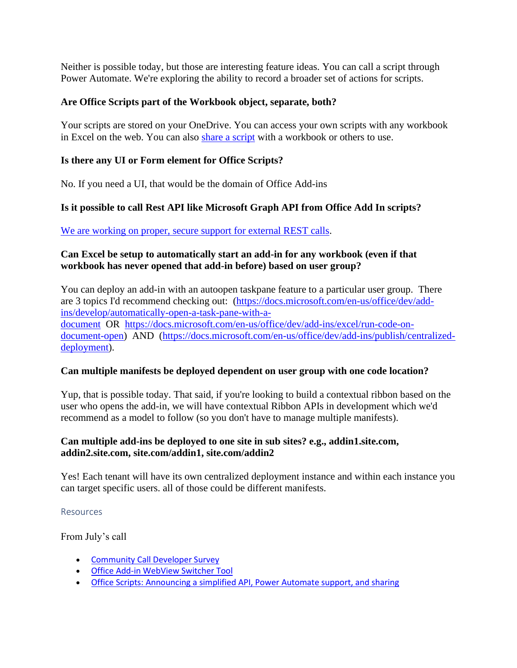Neither is possible today, but those are interesting feature ideas. You can call a script through Power Automate. We're exploring the ability to record a broader set of actions for scripts.

## **Are Office Scripts part of the Workbook object, separate, both?**

Your scripts are stored on your OneDrive. You can access your own scripts with any workbook in Excel on the web. You can also [share a script](https://support.microsoft.com/en-us/office/sharing-office-scripts-in-excel-for-the-web-226eddbc-3a44-4540-acfe-fccda3d1122b?storagetype=live&ui=en-US&rs=en-US&ad=US) with a workbook or others to use.

## **Is there any UI or Form element for Office Scripts?**

No. If you need a UI, that would be the domain of Office Add-ins

## **Is it possible to call Rest API like Microsoft Graph API from Office Add In scripts?**

[We are working on proper, secure support for external REST calls.](https://docs.microsoft.com/en-us/office/dev/scripts/develop/external-calls)

## **Can Excel be setup to automatically start an add-in for any workbook (even if that workbook has never opened that add-in before) based on user group?**

You can deploy an add-in with an autoopen taskpane feature to a particular user group. There are 3 topics I'd recommend checking out: [\(https://docs.microsoft.com/en-us/office/dev/add](https://docs.microsoft.com/en-us/office/dev/add-ins/develop/automatically-open-a-task-pane-with-a-document)[ins/develop/automatically-open-a-task-pane-with-a](https://docs.microsoft.com/en-us/office/dev/add-ins/develop/automatically-open-a-task-pane-with-a-document)[document](https://docs.microsoft.com/en-us/office/dev/add-ins/develop/automatically-open-a-task-pane-with-a-document) OR [https://docs.microsoft.com/en-us/office/dev/add-ins/excel/run-code-on](https://docs.microsoft.com/en-us/office/dev/add-ins/excel/run-code-on-document-open)[document-open\)](https://docs.microsoft.com/en-us/office/dev/add-ins/excel/run-code-on-document-open) AND [\(https://docs.microsoft.com/en-us/office/dev/add-ins/publish/centralized](https://docs.microsoft.com/en-us/office/dev/add-ins/publish/centralized-deployment)[deployment\)](https://docs.microsoft.com/en-us/office/dev/add-ins/publish/centralized-deployment).

## **Can multiple manifests be deployed dependent on user group with one code location?**

Yup, that is possible today. That said, if you're looking to build a contextual ribbon based on the user who opens the add-in, we will have contextual Ribbon APIs in development which we'd recommend as a model to follow (so you don't have to manage multiple manifests).

# **Can multiple add-ins be deployed to one site in sub sites? e.g., addin1.site.com, addin2.site.com, site.com/addin1, site.com/addin2**

Yes! Each tenant will have its own centralized deployment instance and within each instance you can target specific users. all of those could be different manifests.

### Resources

From July's call

- [Community Call Developer Survey](https://aka.ms/oadevsurvey)
- [Office Add-in WebView Switcher Tool](https://github.com/OfficeDev/Office-Addin-Scripts/blob/master/packages/office-addin-dev-settings/README.md#webview)
- [Office Scripts: Announcing a simplified API, Power Automate support, and sharing](https://techcommunity.microsoft.com/t5/excel-blog/office-scripts-announcing-a-simplified-api-power-automate/ba-p/1502119)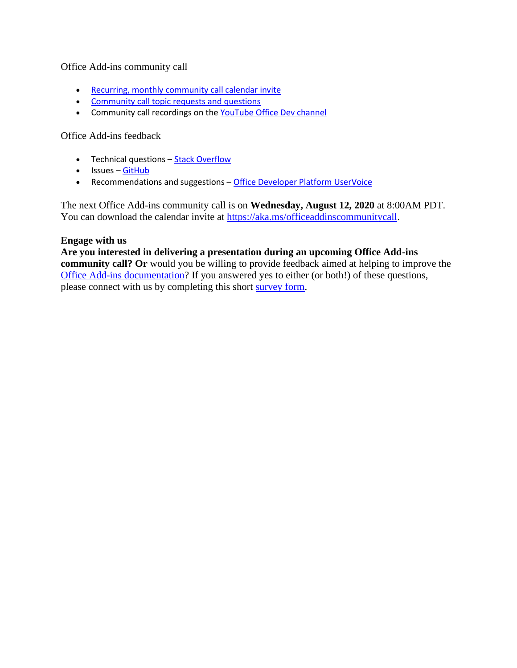## Office Add-ins community call

- [Recurring, monthly community call calendar invite](https://aka.ms/officeaddinscommunitycall)
- [Community call topic requests and questions](https://aka.ms/officeaddinsform)
- Community call recordings on the [YouTube Office Dev channel](https://aka.ms/OfficeDevYouTube)

## Office Add-ins feedback

- Technical questions [Stack Overflow](https://stackoverflow.com/questions/tagged/office-js)
- Issues [GitHub](https://github.com/OfficeDev/office-js/issues)
- Recommendations and suggestions [Office Developer Platform UserVoice](https://officespdev.uservoice.com/)

The next Office Add-ins community call is on **Wednesday, August 12, 2020** at 8:00AM PDT. You can download the calendar invite at [https://aka.ms/officeaddinscommunitycall.](https://aka.ms/officeaddinscommunitycall)

### **Engage with us**

## **Are you interested in delivering a presentation during an upcoming Office Add-ins community call? Or** would you be willing to provide feedback aimed at helping to improve the [Office Add-ins documentation?](https://docs.microsoft.com/office/dev/add-ins/) If you answered yes to either (or both!) of these questions, please connect with us by completing this short [survey form.](https://aka.ms/office-add-ins-engage)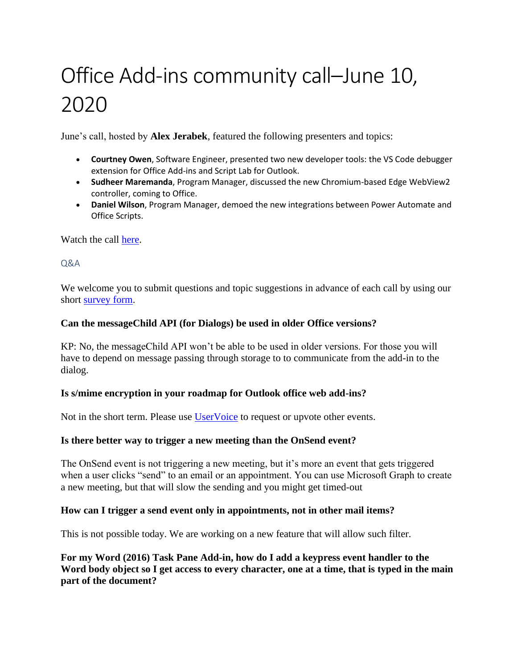# Office Add-ins community call–June 10, 2020

June's call, hosted by **Alex Jerabek**, featured the following presenters and topics:

- **Courtney Owen**, Software Engineer, presented two new developer tools: the VS Code debugger extension for Office Add-ins and Script Lab for Outlook.
- **Sudheer Maremanda**, Program Manager, discussed the new Chromium-based Edge WebView2 controller, coming to Office.
- **Daniel Wilson**, Program Manager, demoed the new integrations between Power Automate and Office Scripts.

Watch the call [here.](https://www.youtube.com/embed/RGSAYrQB89M)

## $O&A$

We welcome you to submit questions and topic suggestions in advance of each call by using our short [survey form.](https://aka.ms/officeaddinsform)

## **Can the messageChild API (for Dialogs) be used in older Office versions?**

KP: No, the messageChild API won't be able to be used in older versions. For those you will have to depend on message passing through storage to to communicate from the add-in to the dialog.

## **Is s/mime encryption in your roadmap for Outlook office web add-ins?**

Not in the short term. Please use [UserVoice](https://officespdev.uservoice.com/) to request or upvote other events.

## **Is there better way to trigger a new meeting than the OnSend event?**

The OnSend event is not triggering a new meeting, but it's more an event that gets triggered when a user clicks "send" to an email or an appointment. You can use Microsoft Graph to create a new meeting, but that will slow the sending and you might get timed-out

## **How can I trigger a send event only in appointments, not in other mail items?**

This is not possible today. We are working on a new feature that will allow such filter.

**For my Word (2016) Task Pane Add-in, how do I add a keypress event handler to the Word body object so I get access to every character, one at a time, that is typed in the main part of the document?**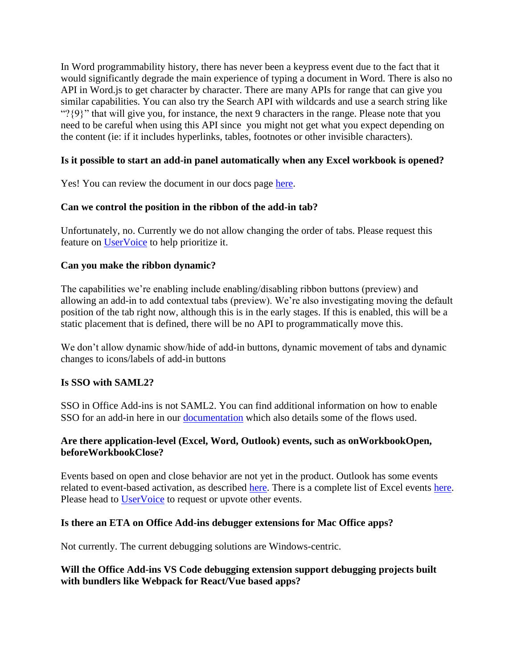In Word programmability history, there has never been a keypress event due to the fact that it would significantly degrade the main experience of typing a document in Word. There is also no API in Word.js to get character by character. There are many APIs for range that can give you similar capabilities. You can also try the Search API with wildcards and use a search string like "?{9}" that will give you, for instance, the next 9 characters in the range. Please note that you need to be careful when using this API since you might not get what you expect depending on the content (ie: if it includes hyperlinks, tables, footnotes or other invisible characters).

## **Is it possible to start an add-in panel automatically when any Excel workbook is opened?**

Yes! You can review the document in our docs page [here.](https://docs.microsoft.com/en-us/office/dev/add-ins/develop/automatically-open-a-task-pane-with-a-document)

## **Can we control the position in the ribbon of the add-in tab?**

Unfortunately, no. Currently we do not allow changing the order of tabs. Please request this feature on [UserVoice](https://officespdev.uservoice.com/) to help prioritize it.

## **Can you make the ribbon dynamic?**

The capabilities we're enabling include enabling/disabling ribbon buttons (preview) and allowing an add-in to add contextual tabs (preview). We're also investigating moving the default position of the tab right now, although this is in the early stages. If this is enabled, this will be a static placement that is defined, there will be no API to programmatically move this.

We don't allow dynamic show/hide of add-in buttons, dynamic movement of tabs and dynamic changes to icons/labels of add-in buttons

## **Is SSO with SAML2?**

SSO in Office Add-ins is not SAML2. You can find additional information on how to enable SSO for an add-in here in our [documentation](https://nam06.safelinks.protection.outlook.com/?url=https%3A%2F%2Fdocs.microsoft.com%2Fen-us%2Foffice%2Fdev%2Fadd-ins%2Fdevelop%2Fregister-sso-add-in-aad-v2&data=04%7C01%7CAlexander.Jerabek%40microsoft.com%7Cd869a893878748454fc808d7fb81e2a9%7C72f988bf86f141af91ab2d7cd011db47%7C0%7C0%7C637254407581493085%7CUnknown%7CTWFpbGZsb3d8eyJWIjoiMC4wLjAwMDAiLCJQIjoiV2luMzIiLCJBTiI6Ik1haWwiLCJXVCI6Mn0%3D%7C-1&sdata=iueVA6pHuasl4ECb1xvdkU4%2FpZB9VT%2BKIeE9Qod9TF8%3D&reserved=0) which also details some of the flows used.

## **Are there application-level (Excel, Word, Outlook) events, such as onWorkbookOpen, beforeWorkbookClose?**

Events based on open and close behavior are not yet in the product. Outlook has some events related to event-based activation, as described [here.](https://docs.microsoft.com/en-us/office/dev/add-ins/outlook/autolaunch) There is a complete list of Excel events [here.](https://docs.microsoft.com/en-us/office/dev/add-ins/excel/excel-add-ins-events) Please head to [UserVoice](https://officespdev.uservoice.com/) to request or upvote other events.

## **Is there an ETA on Office Add-ins debugger extensions for Mac Office apps?**

Not currently. The current debugging solutions are Windows-centric.

## **Will the Office Add-ins VS Code debugging extension support debugging projects built with bundlers like Webpack for React/Vue based apps?**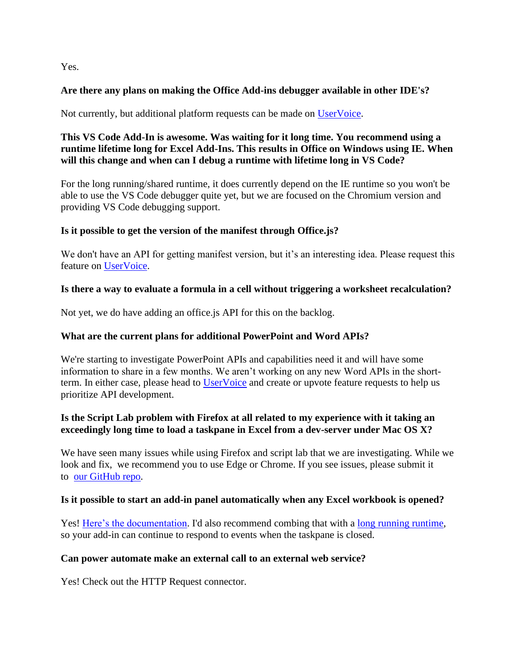Yes.

# **Are there any plans on making the Office Add-ins debugger available in other IDE's?**

Not currently, but additional platform requests can be made on [UserVoice.](https://officespdev.uservoice.com/)

# **This VS Code Add-In is awesome. Was waiting for it long time. You recommend using a runtime lifetime long for Excel Add-Ins. This results in Office on Windows using IE. When will this change and when can I debug a runtime with lifetime long in VS Code?**

For the long running/shared runtime, it does currently depend on the IE runtime so you won't be able to use the VS Code debugger quite yet, but we are focused on the Chromium version and providing VS Code debugging support.

# **Is it possible to get the version of the manifest through Office.js?**

We don't have an API for getting manifest version, but it's an interesting idea. Please request this feature on [UserVoice.](https://officespdev.uservoice.com/)

# **Is there a way to evaluate a formula in a cell without triggering a worksheet recalculation?**

Not yet, we do have adding an office.js API for this on the backlog.

# **What are the current plans for additional PowerPoint and Word APIs?**

We're starting to investigate PowerPoint APIs and capabilities need it and will have some information to share in a few months. We aren't working on any new Word APIs in the short-term. In either case, please head to [UserVoice](https://officespdev.uservoice.com/) and create or upvote feature requests to help us prioritize API development.

# **Is the Script Lab problem with Firefox at all related to my experience with it taking an exceedingly long time to load a taskpane in Excel from a dev-server under Mac OS X?**

We have seen many issues while using Firefox and script lab that we are investigating. While we look and fix, we recommend you to use Edge or Chrome. If you see issues, please submit it to [our GitHub repo.](https://github.com/officedev/office-js/issues)

# **Is it possible to start an add-in panel automatically when any Excel workbook is opened?**

Yes! [Here's the documentation.](https://docs.microsoft.com/en-us/office/dev/add-ins/develop/automatically-open-a-task-pane-with-a-document) I'd also recommend combing that with a [long running runtime,](https://ppc-word-edit.officeapps.live.com/we/o%09https:/docs.microsoft.com/en-us/office/dev/add-ins/excel/configure-your-add-in-to-use-a-shared-runtime) so your add-in can continue to respond to events when the taskpane is closed.

# **Can power automate make an external call to an external web service?**

Yes! Check out the HTTP Request connector.